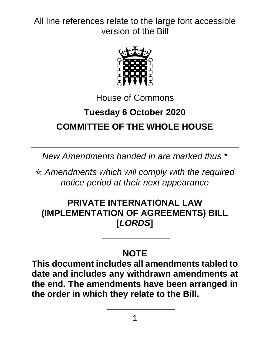

House of Commons

# **Tuesday 6 October 2020 COMMITTEE OF THE WHOLE HOUSE**

*New Amendments handed in are marked thus* \*

☆ *Amendments which will comply with the required notice period at their next appearance*

## **PRIVATE INTERNATIONAL LAW (IMPLEMENTATION OF AGREEMENTS) BILL [***LORDS***]**

## **NOTE**

**This document includes all amendments tabled to date and includes any withdrawn amendments at the end. The amendments have been arranged in the order in which they relate to the Bill.**

1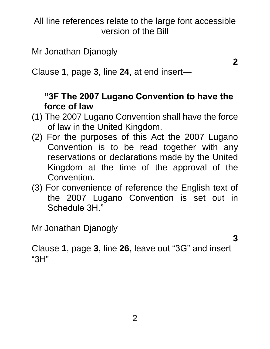Mr Jonathan Djanogly

**2**

Clause **1**, page **3**, line **24**, at end insert—

## **"3F The 2007 Lugano Convention to have the force of law**

- (1) The 2007 Lugano Convention shall have the force of law in the United Kingdom.
- (2) For the purposes of this Act the 2007 Lugano Convention is to be read together with any reservations or declarations made by the United Kingdom at the time of the approval of the Convention.
- (3) For convenience of reference the English text of the 2007 Lugano Convention is set out in Schedule 3H."

Mr Jonathan Djanogly

**3**

Clause **1**, page **3**, line **26**, leave out "3G" and insert "3H"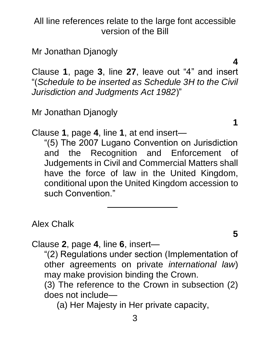Mr Jonathan Djanogly

Clause **1**, page **3**, line **27**, leave out "4" and insert "(*Schedule to be inserted as Schedule 3H to the Civil Jurisdiction and Judgments Act 1982*)"

Mr Jonathan Djanogly

Clause **1**, page **4**, line **1**, at end insert—

"(5) The 2007 Lugano Convention on Jurisdiction and the Recognition and Enforcement of Judgements in Civil and Commercial Matters shall have the force of law in the United Kingdom, conditional upon the United Kingdom accession to such Convention."

Alex Chalk

Clause **2**, page **4**, line **6**, insert—

"(2) Regulations under section (Implementation of other agreements on private *international law*) may make provision binding the Crown.

(3) The reference to the Crown in subsection (2) does not include—

(a) Her Majesty in Her private capacity,

**5**

**4**

**1**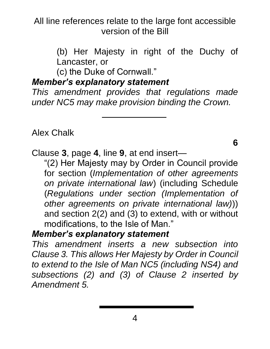> (b) Her Majesty in right of the Duchy of Lancaster, or

(c) the Duke of Cornwall."

#### *Member's explanatory statement*

*This amendment provides that regulations made under NC5 may make provision binding the Crown.*

Alex Chalk

**6**

Clause **3**, page **4**, line **9**, at end insert—

"(2) Her Majesty may by Order in Council provide for section (*Implementation of other agreements on private international law*) (including Schedule (*Regulations under section (Implementation of other agreements on private international law)*)) and section 2(2) and (3) to extend, with or without modifications, to the Isle of Man."

#### *Member's explanatory statement*

*This amendment inserts a new subsection into Clause 3. This allows Her Majesty by Order in Council to extend to the Isle of Man NC5 (including NS4) and subsections (2) and (3) of Clause 2 inserted by Amendment 5.*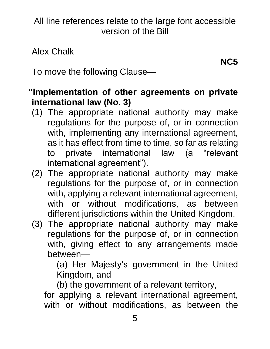Alex Chalk

**NC5**

To move the following Clause—

#### **"Implementation of other agreements on private international law (No. 3)**

- (1) The appropriate national authority may make regulations for the purpose of, or in connection with, implementing any international agreement, as it has effect from time to time, so far as relating to private international law (a "relevant international agreement").
- (2) The appropriate national authority may make regulations for the purpose of, or in connection with, applying a relevant international agreement, with or without modifications, as between different jurisdictions within the United Kingdom.
- (3) The appropriate national authority may make regulations for the purpose of, or in connection with, giving effect to any arrangements made between—

(a) Her Majesty's government in the United Kingdom, and

(b) the government of a relevant territory,

for applying a relevant international agreement, with or without modifications, as between the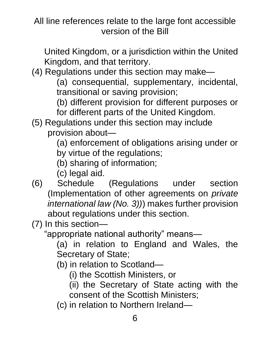United Kingdom, or a jurisdiction within the United Kingdom, and that territory.

(4) Regulations under this section may make—

(a) consequential, supplementary, incidental, transitional or saving provision;

(b) different provision for different purposes or for different parts of the United Kingdom.

(5) Regulations under this section may include provision about—

(a) enforcement of obligations arising under or by virtue of the regulations;

(b) sharing of information;

(c) legal aid.

(6) Schedule (Regulations under section (Implementation of other agreements on *private international law (No. 3))*) makes further provision about regulations under this section.

(7) In this section—

"appropriate national authority" means—

(a) in relation to England and Wales, the Secretary of State;

(b) in relation to Scotland—

(i) the Scottish Ministers, or

(ii) the Secretary of State acting with the consent of the Scottish Ministers;

(c) in relation to Northern Ireland—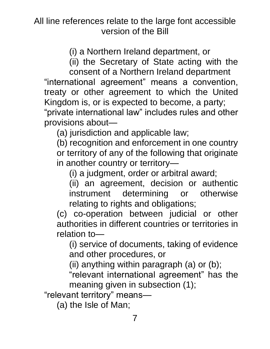(i) a Northern Ireland department, or

(ii) the Secretary of State acting with the

consent of a Northern Ireland department "international agreement" means a convention, treaty or other agreement to which the United Kingdom is, or is expected to become, a party;

"private international law" includes rules and other provisions about—

(a) jurisdiction and applicable law;

(b) recognition and enforcement in one country or territory of any of the following that originate in another country or territory—

(i) a judgment, order or arbitral award;

(ii) an agreement, decision or authentic instrument determining or otherwise relating to rights and obligations;

(c) co-operation between judicial or other authorities in different countries or territories in relation to—

(i) service of documents, taking of evidence and other procedures, or

(ii) anything within paragraph (a) or (b);

"relevant international agreement" has the meaning given in subsection (1);

"relevant territory" means—

(a) the Isle of Man;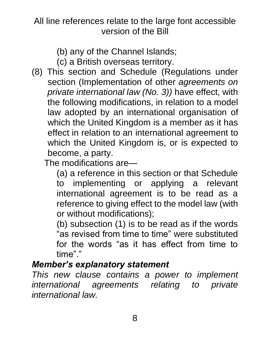(b) any of the Channel Islands;

- (c) a British overseas territory.
- (8) This section and Schedule (Regulations under section (Implementation of other *agreements on private international law (No. 3))* have effect, with the following modifications, in relation to a model law adopted by an international organisation of which the United Kingdom is a member as it has effect in relation to an international agreement to which the United Kingdom is, or is expected to become, a party.

The modifications are—

(a) a reference in this section or that Schedule to implementing or applying a relevant international agreement is to be read as a reference to giving effect to the model law (with or without modifications);

(b) subsection (1) is to be read as if the words "as revised from time to time" were substituted for the words "as it has effect from time to time"."

## *Member's explanatory statement*

*This new clause contains a power to implement international agreements relating to private international law.*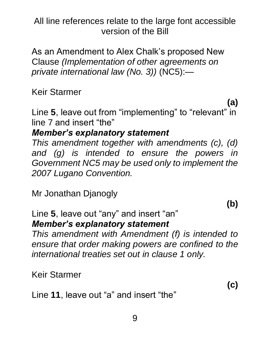As an Amendment to Alex Chalk's proposed New Clause *(Implementation of other agreements on private international law (No. 3))* (NC5):—

Keir Starmer

Line **5**, leave out from "implementing" to "relevant" in line 7 and insert "the"

#### *Member's explanatory statement*

*This amendment together with amendments (c), (d) and (g) is intended to ensure the powers in Government NC5 may be used only to implement the 2007 Lugano Convention.*

Mr Jonathan Djanogly

**(b)**

**(c)**

**(a)**

Line **5**, leave out "any" and insert "an" *Member's explanatory statement*

*This amendment with Amendment (f) is intended to ensure that order making powers are confined to the international treaties set out in clause 1 only.*

Keir Starmer

Line **11**, leave out "a" and insert "the"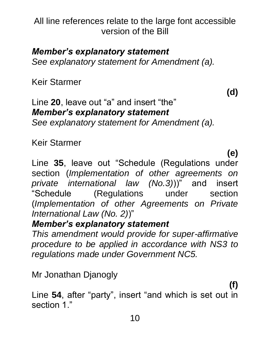#### *Member's explanatory statement*

*See explanatory statement for Amendment (a).*

Keir Starmer

**(d)**

#### Line **20**, leave out "a" and insert "the" *Member's explanatory statement See explanatory statement for Amendment (a).*

Keir Starmer

**(e)**

Line **35**, leave out "Schedule (Regulations under section (*Implementation of other agreements on private international law (No.3)*))" and insert "Schedule (Regulations under section (*Implementation of other Agreements on Private International Law (No. 2)*)"

## *Member's explanatory statement*

*This amendment would provide for super-affirmative procedure to be applied in accordance with NS3 to regulations made under Government NC5.*

Mr Jonathan Djanogly

**(f)**

Line **54**, after "party", insert "and which is set out in section 1."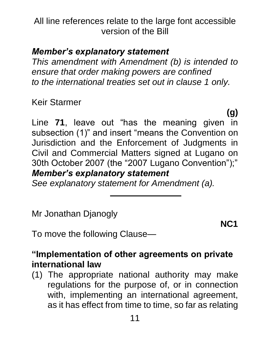## *Member's explanatory statement*

*This amendment with Amendment (b) is intended to ensure that order making powers are confined to the international treaties set out in clause 1 only.*

Keir Starmer

**(g)** Line **71**, leave out "has the meaning given in subsection (1)" and insert "means the Convention on Jurisdiction and the Enforcement of Judgments in Civil and Commercial Matters signed at Lugano on 30th October 2007 (the "2007 Lugano Convention");" *Member's explanatory statement*

*See explanatory statement for Amendment (a).*

Mr Jonathan Djanogly

**NC1**

To move the following Clause—

#### **"Implementation of other agreements on private international law**

(1) The appropriate national authority may make regulations for the purpose of, or in connection with, implementing an international agreement, as it has effect from time to time, so far as relating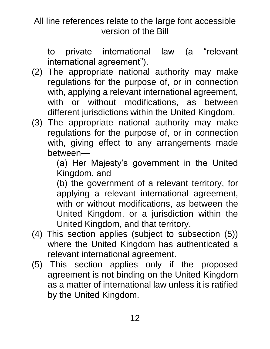to private international law (a "relevant international agreement").

- (2) The appropriate national authority may make regulations for the purpose of, or in connection with, applying a relevant international agreement, with or without modifications, as between different jurisdictions within the United Kingdom.
- (3) The appropriate national authority may make regulations for the purpose of, or in connection with, giving effect to any arrangements made between—

(a) Her Majesty's government in the United Kingdom, and

(b) the government of a relevant territory, for applying a relevant international agreement, with or without modifications, as between the United Kingdom, or a jurisdiction within the United Kingdom, and that territory.

- (4) This section applies (subject to subsection (5)) where the United Kingdom has authenticated a relevant international agreement.
- (5) This section applies only if the proposed agreement is not binding on the United Kingdom as a matter of international law unless it is ratified by the United Kingdom.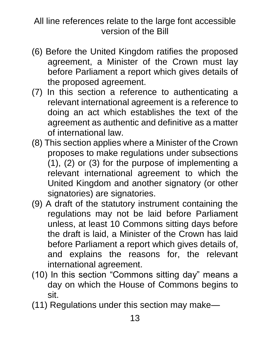- (6) Before the United Kingdom ratifies the proposed agreement, a Minister of the Crown must lay before Parliament a report which gives details of the proposed agreement.
- (7) In this section a reference to authenticating a relevant international agreement is a reference to doing an act which establishes the text of the agreement as authentic and definitive as a matter of international law.
- (8) This section applies where a Minister of the Crown proposes to make regulations under subsections (1), (2) or (3) for the purpose of implementing a relevant international agreement to which the United Kingdom and another signatory (or other signatories) are signatories.
- (9) A draft of the statutory instrument containing the regulations may not be laid before Parliament unless, at least 10 Commons sitting days before the draft is laid, a Minister of the Crown has laid before Parliament a report which gives details of, and explains the reasons for, the relevant international agreement.
- (10) In this section "Commons sitting day" means a day on which the House of Commons begins to sit.
- (11) Regulations under this section may make—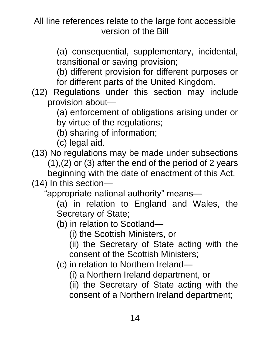> (a) consequential, supplementary, incidental, transitional or saving provision;

> (b) different provision for different purposes or for different parts of the United Kingdom.

(12) Regulations under this section may include provision about—

(a) enforcement of obligations arising under or by virtue of the regulations;

(b) sharing of information;

(c) legal aid.

(13) No regulations may be made under subsections (1),(2) or (3) after the end of the period of 2 years beginning with the date of enactment of this Act.

(14) In this section—

"appropriate national authority" means—

(a) in relation to England and Wales, the Secretary of State;

(b) in relation to Scotland—

(i) the Scottish Ministers, or

(ii) the Secretary of State acting with the consent of the Scottish Ministers;

(c) in relation to Northern Ireland—

(i) a Northern Ireland department, or

(ii) the Secretary of State acting with the consent of a Northern Ireland department;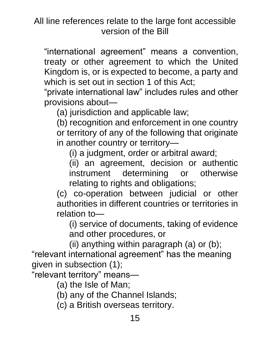"international agreement" means a convention, treaty or other agreement to which the United Kingdom is, or is expected to become, a party and which is set out in section 1 of this Act;

"private international law" includes rules and other provisions about—

(a) jurisdiction and applicable law;

(b) recognition and enforcement in one country or territory of any of the following that originate in another country or territory—

(i) a judgment, order or arbitral award;

(ii) an agreement, decision or authentic instrument determining or otherwise relating to rights and obligations;

(c) co-operation between judicial or other authorities in different countries or territories in relation to—

(i) service of documents, taking of evidence and other procedures, or

(ii) anything within paragraph (a) or (b); "relevant international agreement" has the meaning given in subsection (1);

"relevant territory" means—

(a) the Isle of Man;

- (b) any of the Channel Islands;
- (c) a British overseas territory.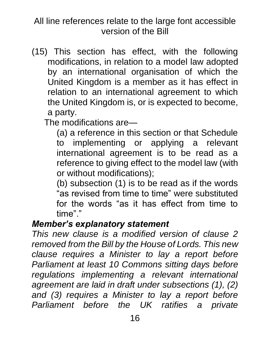(15) This section has effect, with the following modifications, in relation to a model law adopted by an international organisation of which the United Kingdom is a member as it has effect in relation to an international agreement to which the United Kingdom is, or is expected to become, a party.

The modifications are—

(a) a reference in this section or that Schedule to implementing or applying a relevant international agreement is to be read as a reference to giving effect to the model law (with or without modifications);

(b) subsection (1) is to be read as if the words "as revised from time to time" were substituted for the words "as it has effect from time to time"."

#### *Member's explanatory statement*

*This new clause is a modified version of clause 2 removed from the Bill by the House of Lords. This new clause requires a Minister to lay a report before Parliament at least 10 Commons sitting days before regulations implementing a relevant international agreement are laid in draft under subsections (1), (2) and (3) requires a Minister to lay a report before Parliament before the UK ratifies a private*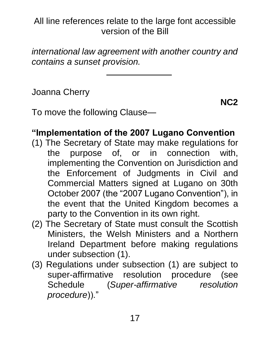*international law agreement with another country and contains a sunset provision.*

Joanna Cherry

**NC2**

To move the following Clause—

## **"Implementation of the 2007 Lugano Convention**

- (1) The Secretary of State may make regulations for the purpose of, or in connection with, implementing the Convention on Jurisdiction and the Enforcement of Judgments in Civil and Commercial Matters signed at Lugano on 30th October 2007 (the "2007 Lugano Convention"), in the event that the United Kingdom becomes a party to the Convention in its own right.
- (2) The Secretary of State must consult the Scottish Ministers, the Welsh Ministers and a Northern Ireland Department before making regulations under subsection (1).
- (3) Regulations under subsection (1) are subject to super-affirmative resolution procedure (see Schedule (*Super-affirmative resolution procedure*))."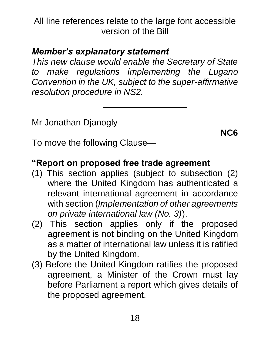## *Member's explanatory statement*

*This new clause would enable the Secretary of State to make regulations implementing the Lugano Convention in the UK, subject to the super-affirmative resolution procedure in NS2.*

Mr Jonathan Djanogly

To move the following Clause—

## **"Report on proposed free trade agreement**

- (1) This section applies (subject to subsection (2) where the United Kingdom has authenticated a relevant international agreement in accordance with section (*Implementation of other agreements on private international law (No. 3)*).
- (2) This section applies only if the proposed agreement is not binding on the United Kingdom as a matter of international law unless it is ratified by the United Kingdom.
- (3) Before the United Kingdom ratifies the proposed agreement, a Minister of the Crown must lay before Parliament a report which gives details of the proposed agreement.

**NC6**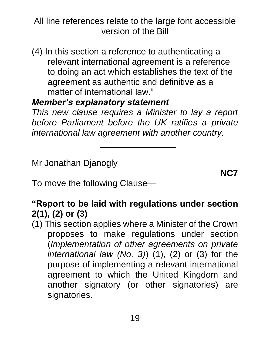(4) In this section a reference to authenticating a relevant international agreement is a reference to doing an act which establishes the text of the agreement as authentic and definitive as a matter of international law."

#### *Member's explanatory statement*

*This new clause requires a Minister to lay a report before Parliament before the UK ratifies a private international law agreement with another country.*

Mr Jonathan Djanogly

**NC7**

To move the following Clause—

# **"Report to be laid with regulations under section 2(1), (2) or (3)**

(1) This section applies where a Minister of the Crown proposes to make regulations under section (*Implementation of other agreements on private international law (No. 3)*) (1), (2) or (3) for the purpose of implementing a relevant international agreement to which the United Kingdom and another signatory (or other signatories) are signatories.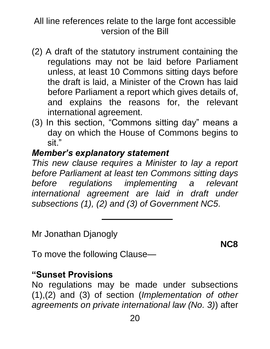- (2) A draft of the statutory instrument containing the regulations may not be laid before Parliament unless, at least 10 Commons sitting days before the draft is laid, a Minister of the Crown has laid before Parliament a report which gives details of, and explains the reasons for, the relevant international agreement.
- (3) In this section, "Commons sitting day" means a day on which the House of Commons begins to sit."

#### *Member's explanatory statement*

*This new clause requires a Minister to lay a report before Parliament at least ten Commons sitting days before regulations implementing a relevant international agreement are laid in draft under subsections (1), (2) and (3) of Government NC5.*

Mr Jonathan Djanogly

**NC8**

To move the following Clause—

#### **"Sunset Provisions**

No regulations may be made under subsections (1),(2) and (3) of section (*Implementation of other agreements on private international law (No. 3)*) after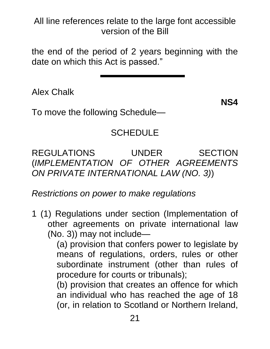the end of the period of 2 years beginning with the date on which this Act is passed."

Alex Chalk

**NS4**

To move the following Schedule—

# **SCHEDULE**

REGULATIONS UNDER SECTION (*IMPLEMENTATION OF OTHER AGREEMENTS ON PRIVATE INTERNATIONAL LAW (NO. 3)*)

*Restrictions on power to make regulations*

1 (1) Regulations under section (Implementation of other agreements on private international law (No. 3)) may not include—

(a) provision that confers power to legislate by means of regulations, orders, rules or other subordinate instrument (other than rules of procedure for courts or tribunals);

(b) provision that creates an offence for which an individual who has reached the age of 18 (or, in relation to Scotland or Northern Ireland,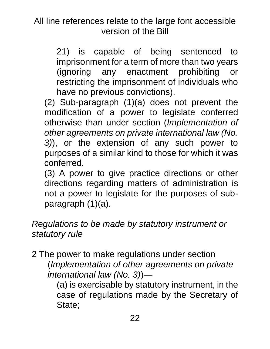21) is capable of being sentenced to imprisonment for a term of more than two years (ignoring any enactment prohibiting or restricting the imprisonment of individuals who have no previous convictions).

(2) Sub-paragraph (1)(a) does not prevent the modification of a power to legislate conferred otherwise than under section (*Implementation of other agreements on private international law (No. 3)*), or the extension of any such power to purposes of a similar kind to those for which it was conferred.

(3) A power to give practice directions or other directions regarding matters of administration is not a power to legislate for the purposes of subparagraph (1)(a).

## *Regulations to be made by statutory instrument or statutory rule*

2 The power to make regulations under section (*Implementation of other agreements on private international law (No. 3)*)—

(a) is exercisable by statutory instrument, in the case of regulations made by the Secretary of State;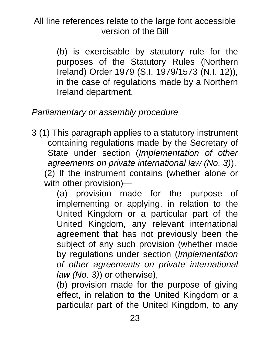> (b) is exercisable by statutory rule for the purposes of the Statutory Rules (Northern Ireland) Order 1979 (S.I. 1979/1573 (N.I. 12)), in the case of regulations made by a Northern Ireland department.

## *Parliamentary or assembly procedure*

3 (1) This paragraph applies to a statutory instrument containing regulations made by the Secretary of State under section (*Implementation of other agreements on private international law (No. 3)*).

(2) If the instrument contains (whether alone or with other provision)—

(a) provision made for the purpose of implementing or applying, in relation to the United Kingdom or a particular part of the United Kingdom, any relevant international agreement that has not previously been the subject of any such provision (whether made by regulations under section (*Implementation of other agreements on private international law (No. 3)*) or otherwise),

(b) provision made for the purpose of giving effect, in relation to the United Kingdom or a particular part of the United Kingdom, to any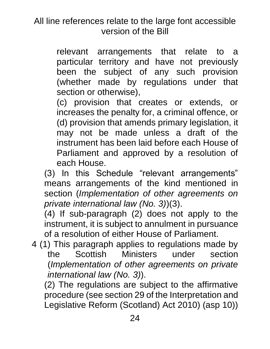relevant arrangements that relate to a particular territory and have not previously been the subject of any such provision (whether made by regulations under that section or otherwise),

(c) provision that creates or extends, or increases the penalty for, a criminal offence, or (d) provision that amends primary legislation, it may not be made unless a draft of the instrument has been laid before each House of Parliament and approved by a resolution of each House.

(3) In this Schedule "relevant arrangements" means arrangements of the kind mentioned in section (*Implementation of other agreements on private international law (No. 3)*)(3).

(4) If sub-paragraph (2) does not apply to the instrument, it is subject to annulment in pursuance of a resolution of either House of Parliament.

4 (1) This paragraph applies to regulations made by the Scottish Ministers under section (*Implementation of other agreements on private international law (No. 3)*).

(2) The regulations are subject to the affirmative procedure (see section 29 of the Interpretation and Legislative Reform (Scotland) Act 2010) (asp 10))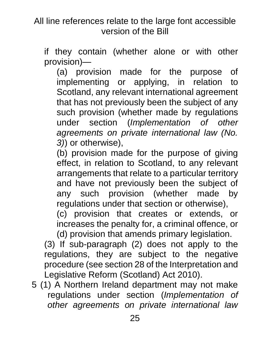if they contain (whether alone or with other provision)—

(a) provision made for the purpose of implementing or applying, in relation to Scotland, any relevant international agreement that has not previously been the subject of any such provision (whether made by regulations under section (*Implementation of other agreements on private international law (No. 3)*) or otherwise),

(b) provision made for the purpose of giving effect, in relation to Scotland, to any relevant arrangements that relate to a particular territory and have not previously been the subject of any such provision (whether made by regulations under that section or otherwise),

(c) provision that creates or extends, or increases the penalty for, a criminal offence, or (d) provision that amends primary legislation.

(3) If sub-paragraph (2) does not apply to the regulations, they are subject to the negative procedure (see section 28 of the Interpretation and Legislative Reform (Scotland) Act 2010).

5 (1) A Northern Ireland department may not make regulations under section (*Implementation of other agreements on private international law*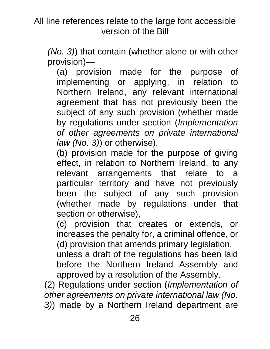*(No. 3)*) that contain (whether alone or with other provision)—

(a) provision made for the purpose of implementing or applying, in relation to Northern Ireland, any relevant international agreement that has not previously been the subject of any such provision (whether made by regulations under section (*Implementation of other agreements on private international law (No. 3)*) or otherwise),

(b) provision made for the purpose of giving effect, in relation to Northern Ireland, to any relevant arrangements that relate to a particular territory and have not previously been the subject of any such provision (whether made by regulations under that section or otherwise),

(c) provision that creates or extends, or increases the penalty for, a criminal offence, or (d) provision that amends primary legislation,

unless a draft of the regulations has been laid before the Northern Ireland Assembly and approved by a resolution of the Assembly.

(2) Regulations under section (*Implementation of other agreements on private international law (No. 3)*) made by a Northern Ireland department are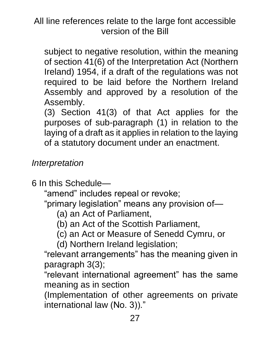subject to negative resolution, within the meaning of section 41(6) of the Interpretation Act (Northern Ireland) 1954, if a draft of the regulations was not required to be laid before the Northern Ireland Assembly and approved by a resolution of the Assembly.

(3) Section 41(3) of that Act applies for the purposes of sub-paragraph (1) in relation to the laying of a draft as it applies in relation to the laying of a statutory document under an enactment.

*Interpretation*

6 In this Schedule—

"amend" includes repeal or revoke;

"primary legislation" means any provision of—

- (a) an Act of Parliament,
- (b) an Act of the Scottish Parliament,
- (c) an Act or Measure of Senedd Cymru, or

(d) Northern Ireland legislation;

"relevant arrangements" has the meaning given in paragraph 3(3);

"relevant international agreement" has the same meaning as in section

(Implementation of other agreements on private international law (No. 3))."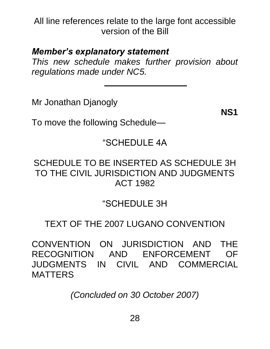#### *Member's explanatory statement*

*This new schedule makes further provision about regulations made under NC5.*

Mr Jonathan Djanogly

**NS1**

To move the following Schedule—

## "SCHEDULE 4A

#### SCHEDULE TO BE INSERTED AS SCHEDULE 3H TO THE CIVIL JURISDICTION AND JUDGMENTS ACT 1982

## "SCHEDULE 3H

# TEXT OF THE 2007 LUGANO CONVENTION

CONVENTION ON JURISDICTION AND THE RECOGNITION AND ENFORCEMENT OF JUDGMENTS IN CIVIL AND COMMERCIAL MATTERS

*(Concluded on 30 October 2007)*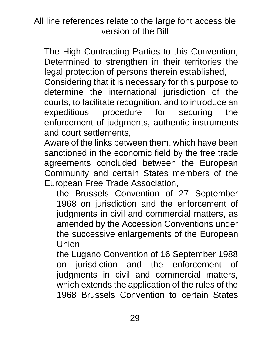The High Contracting Parties to this Convention, Determined to strengthen in their territories the legal protection of persons therein established,

Considering that it is necessary for this purpose to determine the international jurisdiction of the courts, to facilitate recognition, and to introduce an expeditious procedure for securing the enforcement of judgments, authentic instruments and court settlements,

Aware of the links between them, which have been sanctioned in the economic field by the free trade agreements concluded between the European Community and certain States members of the European Free Trade Association,

the Brussels Convention of 27 September 1968 on jurisdiction and the enforcement of judgments in civil and commercial matters, as amended by the Accession Conventions under the successive enlargements of the European Union,

the Lugano Convention of 16 September 1988 on jurisdiction and the enforcement of judgments in civil and commercial matters, which extends the application of the rules of the 1968 Brussels Convention to certain States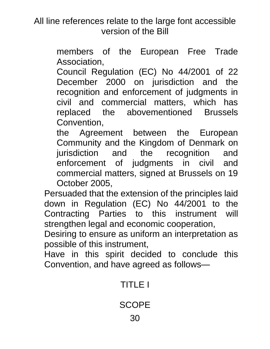> members of the European Free Trade Association,

Council Regulation (EC) No 44/2001 of 22 December 2000 on jurisdiction and the recognition and enforcement of judgments in civil and commercial matters, which has replaced the abovementioned Brussels Convention,

the Agreement between the European Community and the Kingdom of Denmark on jurisdiction and the recognition and enforcement of judgments in civil and commercial matters, signed at Brussels on 19 October 2005,

Persuaded that the extension of the principles laid down in Regulation (EC) No 44/2001 to the Contracting Parties to this instrument will strengthen legal and economic cooperation,

Desiring to ensure as uniform an interpretation as possible of this instrument,

Have in this spirit decided to conclude this Convention, and have agreed as follows—

# TITLE I

**SCOPE**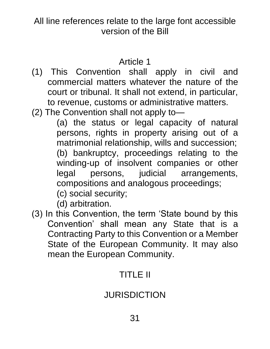#### Article 1

- (1) This Convention shall apply in civil and commercial matters whatever the nature of the court or tribunal. It shall not extend, in particular, to revenue, customs or administrative matters.
- (2) The Convention shall not apply to—

(a) the status or legal capacity of natural persons, rights in property arising out of a matrimonial relationship, wills and succession; (b) bankruptcy, proceedings relating to the winding-up of insolvent companies or other legal persons, judicial arrangements, compositions and analogous proceedings;

(c) social security;

(d) arbitration.

(3) In this Convention, the term 'State bound by this Convention' shall mean any State that is a Contracting Party to this Convention or a Member State of the European Community. It may also mean the European Community.

# TITLE II

# JURISDICTION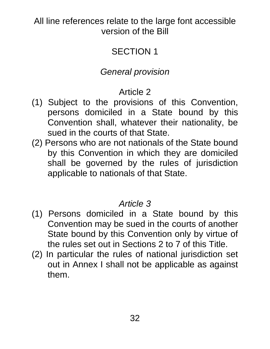# SECTION 1

# *General provision*

# Article 2

- (1) Subject to the provisions of this Convention, persons domiciled in a State bound by this Convention shall, whatever their nationality, be sued in the courts of that State.
- (2) Persons who are not nationals of the State bound by this Convention in which they are domiciled shall be governed by the rules of jurisdiction applicable to nationals of that State.

#### *Article 3*

- (1) Persons domiciled in a State bound by this Convention may be sued in the courts of another State bound by this Convention only by virtue of the rules set out in Sections 2 to 7 of this Title.
- (2) In particular the rules of national jurisdiction set out in Annex I shall not be applicable as against them.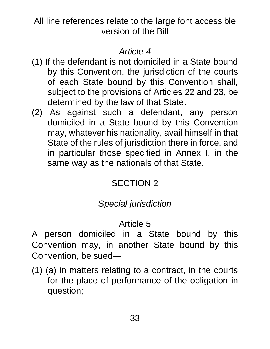## *Article 4*

- (1) If the defendant is not domiciled in a State bound by this Convention, the jurisdiction of the courts of each State bound by this Convention shall, subject to the provisions of Articles 22 and 23, be determined by the law of that State.
- (2) As against such a defendant, any person domiciled in a State bound by this Convention may, whatever his nationality, avail himself in that State of the rules of jurisdiction there in force, and in particular those specified in Annex I, in the same way as the nationals of that State.

# SECTION 2

# *Special jurisdiction*

# Article 5

A person domiciled in a State bound by this Convention may, in another State bound by this Convention, be sued—

(1) (a) in matters relating to a contract, in the courts for the place of performance of the obligation in question;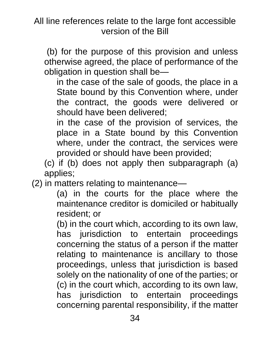(b) for the purpose of this provision and unless otherwise agreed, the place of performance of the obligation in question shall be—

in the case of the sale of goods, the place in a State bound by this Convention where, under the contract, the goods were delivered or should have been delivered;

in the case of the provision of services, the place in a State bound by this Convention where, under the contract, the services were provided or should have been provided;

(c) if (b) does not apply then subparagraph (a) applies;

(2) in matters relating to maintenance—

(a) in the courts for the place where the maintenance creditor is domiciled or habitually resident; or

(b) in the court which, according to its own law, has jurisdiction to entertain proceedings concerning the status of a person if the matter relating to maintenance is ancillary to those proceedings, unless that jurisdiction is based solely on the nationality of one of the parties; or (c) in the court which, according to its own law, has jurisdiction to entertain proceedings concerning parental responsibility, if the matter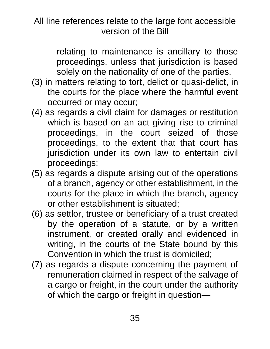relating to maintenance is ancillary to those proceedings, unless that jurisdiction is based solely on the nationality of one of the parties.

- (3) in matters relating to tort, delict or quasi-delict, in the courts for the place where the harmful event occurred or may occur;
- (4) as regards a civil claim for damages or restitution which is based on an act giving rise to criminal proceedings, in the court seized of those proceedings, to the extent that that court has jurisdiction under its own law to entertain civil proceedings;
- (5) as regards a dispute arising out of the operations of a branch, agency or other establishment, in the courts for the place in which the branch, agency or other establishment is situated;
- (6) as settlor, trustee or beneficiary of a trust created by the operation of a statute, or by a written instrument, or created orally and evidenced in writing, in the courts of the State bound by this Convention in which the trust is domiciled;
- (7) as regards a dispute concerning the payment of remuneration claimed in respect of the salvage of a cargo or freight, in the court under the authority of which the cargo or freight in question—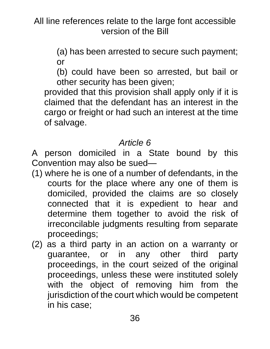> (a) has been arrested to secure such payment; or

> (b) could have been so arrested, but bail or other security has been given;

provided that this provision shall apply only if it is claimed that the defendant has an interest in the cargo or freight or had such an interest at the time of salvage.

## *Article 6*

A person domiciled in a State bound by this Convention may also be sued—

- (1) where he is one of a number of defendants, in the courts for the place where any one of them is domiciled, provided the claims are so closely connected that it is expedient to hear and determine them together to avoid the risk of irreconcilable judgments resulting from separate proceedings;
- (2) as a third party in an action on a warranty or guarantee, or in any other third party proceedings, in the court seized of the original proceedings, unless these were instituted solely with the object of removing him from the jurisdiction of the court which would be competent in his case;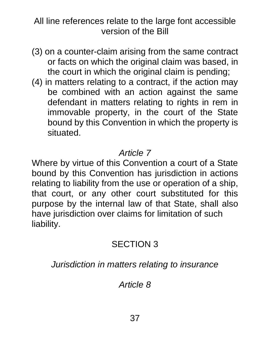- (3) on a counter-claim arising from the same contract or facts on which the original claim was based, in the court in which the original claim is pending;
- (4) in matters relating to a contract, if the action may be combined with an action against the same defendant in matters relating to rights in rem in immovable property, in the court of the State bound by this Convention in which the property is situated.

## *Article 7*

Where by virtue of this Convention a court of a State bound by this Convention has jurisdiction in actions relating to liability from the use or operation of a ship, that court, or any other court substituted for this purpose by the internal law of that State, shall also have jurisdiction over claims for limitation of such liability.

# SECTION 3

*Jurisdiction in matters relating to insurance*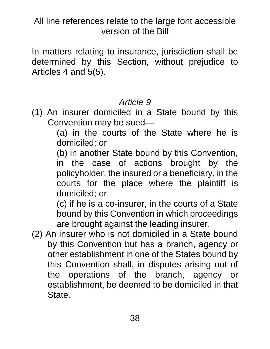In matters relating to insurance, jurisdiction shall be determined by this Section, without prejudice to Articles 4 and 5(5).

## *Article 9*

(1) An insurer domiciled in a State bound by this Convention may be sued—

(a) in the courts of the State where he is domiciled; or

(b) in another State bound by this Convention, in the case of actions brought by the policyholder, the insured or a beneficiary, in the courts for the place where the plaintiff is domiciled; or

(c) if he is a co-insurer, in the courts of a State bound by this Convention in which proceedings are brought against the leading insurer.

(2) An insurer who is not domiciled in a State bound by this Convention but has a branch, agency or other establishment in one of the States bound by this Convention shall, in disputes arising out of the operations of the branch, agency or establishment, be deemed to be domiciled in that State.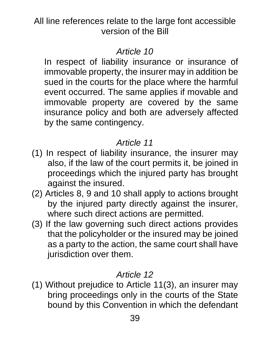## *Article 10*

In respect of liability insurance or insurance of immovable property, the insurer may in addition be sued in the courts for the place where the harmful event occurred. The same applies if movable and immovable property are covered by the same insurance policy and both are adversely affected by the same contingency.

# *Article 11*

- (1) In respect of liability insurance, the insurer may also, if the law of the court permits it, be joined in proceedings which the injured party has brought against the insured.
- (2) Articles 8, 9 and 10 shall apply to actions brought by the injured party directly against the insurer, where such direct actions are permitted.
- (3) If the law governing such direct actions provides that the policyholder or the insured may be joined as a party to the action, the same court shall have jurisdiction over them.

# *Article 12*

(1) Without prejudice to Article 11(3), an insurer may bring proceedings only in the courts of the State bound by this Convention in which the defendant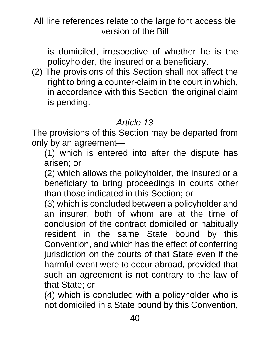is domiciled, irrespective of whether he is the policyholder, the insured or a beneficiary.

(2) The provisions of this Section shall not affect the right to bring a counter-claim in the court in which, in accordance with this Section, the original claim is pending.

#### *Article 13*

The provisions of this Section may be departed from only by an agreement—

(1) which is entered into after the dispute has arisen; or

(2) which allows the policyholder, the insured or a beneficiary to bring proceedings in courts other than those indicated in this Section; or

(3) which is concluded between a policyholder and an insurer, both of whom are at the time of conclusion of the contract domiciled or habitually resident in the same State bound by this Convention, and which has the effect of conferring jurisdiction on the courts of that State even if the harmful event were to occur abroad, provided that such an agreement is not contrary to the law of that State; or

(4) which is concluded with a policyholder who is not domiciled in a State bound by this Convention,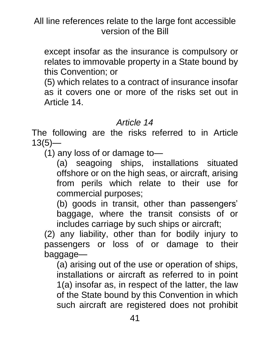except insofar as the insurance is compulsory or relates to immovable property in a State bound by this Convention; or

(5) which relates to a contract of insurance insofar as it covers one or more of the risks set out in Article 14.

#### *Article 14*

The following are the risks referred to in Article  $13(5)$ —

(1) any loss of or damage to—

(a) seagoing ships, installations situated offshore or on the high seas, or aircraft, arising from perils which relate to their use for commercial purposes;

(b) goods in transit, other than passengers' baggage, where the transit consists of or includes carriage by such ships or aircraft;

(2) any liability, other than for bodily injury to passengers or loss of or damage to their baggage—

(a) arising out of the use or operation of ships, installations or aircraft as referred to in point 1(a) insofar as, in respect of the latter, the law of the State bound by this Convention in which such aircraft are registered does not prohibit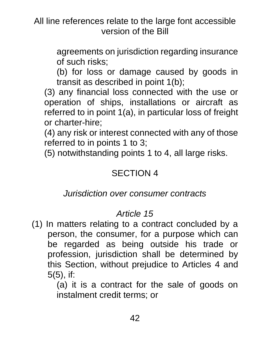> agreements on jurisdiction regarding insurance of such risks;

> (b) for loss or damage caused by goods in transit as described in point 1(b);

(3) any financial loss connected with the use or operation of ships, installations or aircraft as referred to in point 1(a), in particular loss of freight or charter-hire;

(4) any risk or interest connected with any of those referred to in points 1 to 3;

(5) notwithstanding points 1 to 4, all large risks.

## SECTION 4

#### *Jurisdiction over consumer contracts*

## *Article 15*

(1) In matters relating to a contract concluded by a person, the consumer, for a purpose which can be regarded as being outside his trade or profession, jurisdiction shall be determined by this Section, without prejudice to Articles 4 and 5(5), if:

> (a) it is a contract for the sale of goods on instalment credit terms; or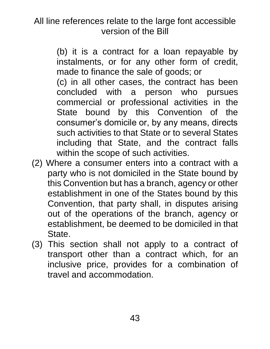> (b) it is a contract for a loan repayable by instalments, or for any other form of credit, made to finance the sale of goods; or

> (c) in all other cases, the contract has been concluded with a person who pursues commercial or professional activities in the State bound by this Convention of the consumer's domicile or, by any means, directs such activities to that State or to several States including that State, and the contract falls within the scope of such activities.

- (2) Where a consumer enters into a contract with a party who is not domiciled in the State bound by this Convention but has a branch, agency or other establishment in one of the States bound by this Convention, that party shall, in disputes arising out of the operations of the branch, agency or establishment, be deemed to be domiciled in that State.
- (3) This section shall not apply to a contract of transport other than a contract which, for an inclusive price, provides for a combination of travel and accommodation.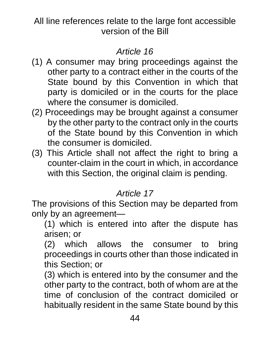## *Article 16*

- (1) A consumer may bring proceedings against the other party to a contract either in the courts of the State bound by this Convention in which that party is domiciled or in the courts for the place where the consumer is domiciled.
- (2) Proceedings may be brought against a consumer by the other party to the contract only in the courts of the State bound by this Convention in which the consumer is domiciled.
- (3) This Article shall not affect the right to bring a counter-claim in the court in which, in accordance with this Section, the original claim is pending.

# *Article 17*

The provisions of this Section may be departed from only by an agreement—

(1) which is entered into after the dispute has arisen; or

(2) which allows the consumer to bring proceedings in courts other than those indicated in this Section; or

(3) which is entered into by the consumer and the other party to the contract, both of whom are at the time of conclusion of the contract domiciled or habitually resident in the same State bound by this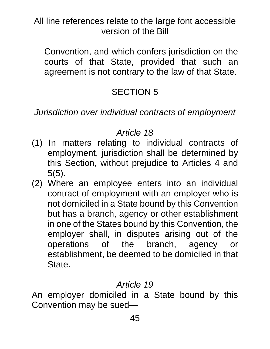Convention, and which confers jurisdiction on the courts of that State, provided that such an agreement is not contrary to the law of that State.

# SECTION 5

*Jurisdiction over individual contracts of employment*

### *Article 18*

- (1) In matters relating to individual contracts of employment, jurisdiction shall be determined by this Section, without prejudice to Articles 4 and 5(5).
- (2) Where an employee enters into an individual contract of employment with an employer who is not domiciled in a State bound by this Convention but has a branch, agency or other establishment in one of the States bound by this Convention, the employer shall, in disputes arising out of the operations of the branch, agency or establishment, be deemed to be domiciled in that State.

## *Article 19*

An employer domiciled in a State bound by this Convention may be sued—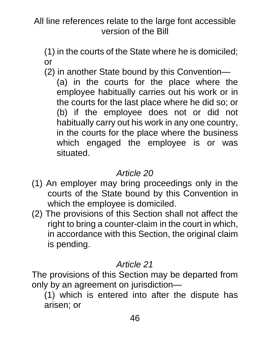(1) in the courts of the State where he is domiciled; or

(2) in another State bound by this Convention— (a) in the courts for the place where the employee habitually carries out his work or in the courts for the last place where he did so; or (b) if the employee does not or did not habitually carry out his work in any one country, in the courts for the place where the business which engaged the employee is or was situated.

## *Article 20*

- (1) An employer may bring proceedings only in the courts of the State bound by this Convention in which the employee is domiciled.
- (2) The provisions of this Section shall not affect the right to bring a counter-claim in the court in which, in accordance with this Section, the original claim is pending.

## *Article 21*

The provisions of this Section may be departed from only by an agreement on jurisdiction—

(1) which is entered into after the dispute has arisen; or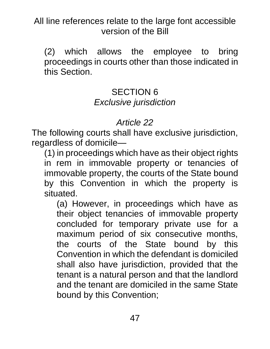(2) which allows the employee to bring proceedings in courts other than those indicated in this Section.

#### SECTION 6 *Exclusive jurisdiction*

## *Article 22*

The following courts shall have exclusive jurisdiction, regardless of domicile—

(1) in proceedings which have as their object rights in rem in immovable property or tenancies of immovable property, the courts of the State bound by this Convention in which the property is situated.

(a) However, in proceedings which have as their object tenancies of immovable property concluded for temporary private use for a maximum period of six consecutive months, the courts of the State bound by this Convention in which the defendant is domiciled shall also have jurisdiction, provided that the tenant is a natural person and that the landlord and the tenant are domiciled in the same State bound by this Convention;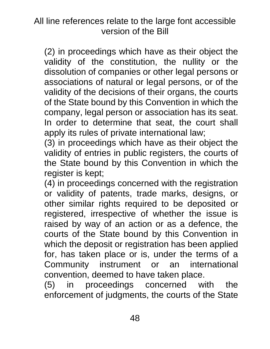(2) in proceedings which have as their object the validity of the constitution, the nullity or the dissolution of companies or other legal persons or associations of natural or legal persons, or of the validity of the decisions of their organs, the courts of the State bound by this Convention in which the company, legal person or association has its seat. In order to determine that seat, the court shall apply its rules of private international law;

(3) in proceedings which have as their object the validity of entries in public registers, the courts of the State bound by this Convention in which the register is kept;

(4) in proceedings concerned with the registration or validity of patents, trade marks, designs, or other similar rights required to be deposited or registered, irrespective of whether the issue is raised by way of an action or as a defence, the courts of the State bound by this Convention in which the deposit or registration has been applied for, has taken place or is, under the terms of a Community instrument or an international convention, deemed to have taken place.

(5) in proceedings concerned with the enforcement of judgments, the courts of the State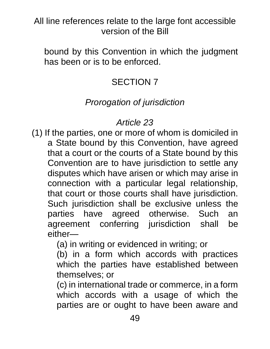bound by this Convention in which the judgment has been or is to be enforced.

# SECTION 7

## *Prorogation of jurisdiction*

## *Article 23*

(1) If the parties, one or more of whom is domiciled in a State bound by this Convention, have agreed that a court or the courts of a State bound by this Convention are to have jurisdiction to settle any disputes which have arisen or which may arise in connection with a particular legal relationship, that court or those courts shall have jurisdiction. Such jurisdiction shall be exclusive unless the parties have agreed otherwise. Such an agreement conferring jurisdiction shall be either—

(a) in writing or evidenced in writing; or

(b) in a form which accords with practices which the parties have established between themselves; or

(c) in international trade or commerce, in a form which accords with a usage of which the parties are or ought to have been aware and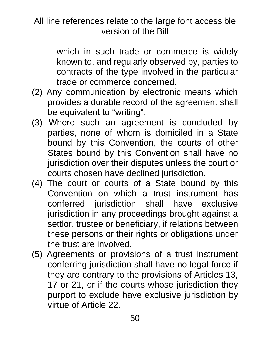which in such trade or commerce is widely known to, and regularly observed by, parties to contracts of the type involved in the particular trade or commerce concerned.

- (2) Any communication by electronic means which provides a durable record of the agreement shall be equivalent to "writing".
- (3) Where such an agreement is concluded by parties, none of whom is domiciled in a State bound by this Convention, the courts of other States bound by this Convention shall have no jurisdiction over their disputes unless the court or courts chosen have declined jurisdiction.
- (4) The court or courts of a State bound by this Convention on which a trust instrument has conferred jurisdiction shall have exclusive jurisdiction in any proceedings brought against a settlor, trustee or beneficiary, if relations between these persons or their rights or obligations under the trust are involved.
- (5) Agreements or provisions of a trust instrument conferring jurisdiction shall have no legal force if they are contrary to the provisions of Articles 13, 17 or 21, or if the courts whose jurisdiction they purport to exclude have exclusive jurisdiction by virtue of Article 22.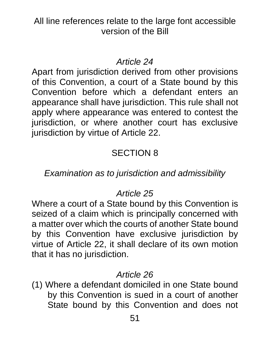### *Article 24*

Apart from jurisdiction derived from other provisions of this Convention, a court of a State bound by this Convention before which a defendant enters an appearance shall have jurisdiction. This rule shall not apply where appearance was entered to contest the jurisdiction, or where another court has exclusive jurisdiction by virtue of Article 22.

## SECTION 8

## *Examination as to jurisdiction and admissibility*

## *Article 25*

Where a court of a State bound by this Convention is seized of a claim which is principally concerned with a matter over which the courts of another State bound by this Convention have exclusive jurisdiction by virtue of Article 22, it shall declare of its own motion that it has no jurisdiction.

#### *Article 26*

(1) Where a defendant domiciled in one State bound by this Convention is sued in a court of another State bound by this Convention and does not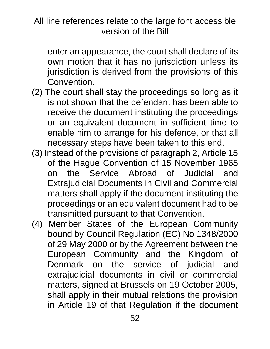enter an appearance, the court shall declare of its own motion that it has no jurisdiction unless its jurisdiction is derived from the provisions of this Convention.

- (2) The court shall stay the proceedings so long as it is not shown that the defendant has been able to receive the document instituting the proceedings or an equivalent document in sufficient time to enable him to arrange for his defence, or that all necessary steps have been taken to this end.
- (3) Instead of the provisions of paragraph 2, Article 15 of the Hague Convention of 15 November 1965 on the Service Abroad of Judicial and Extrajudicial Documents in Civil and Commercial matters shall apply if the document instituting the proceedings or an equivalent document had to be transmitted pursuant to that Convention.
- (4) Member States of the European Community bound by Council Regulation (EC) No 1348/2000 of 29 May 2000 or by the Agreement between the European Community and the Kingdom of Denmark on the service of judicial and extrajudicial documents in civil or commercial matters, signed at Brussels on 19 October 2005, shall apply in their mutual relations the provision in Article 19 of that Regulation if the document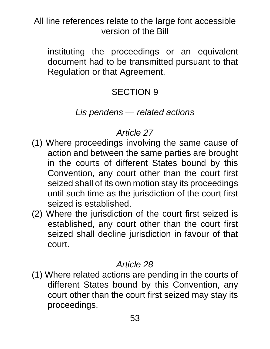instituting the proceedings or an equivalent document had to be transmitted pursuant to that Regulation or that Agreement.

# SECTION 9

#### *Lis pendens — related actions*

# *Article 27*

- (1) Where proceedings involving the same cause of action and between the same parties are brought in the courts of different States bound by this Convention, any court other than the court first seized shall of its own motion stay its proceedings until such time as the jurisdiction of the court first seized is established.
- (2) Where the jurisdiction of the court first seized is established, any court other than the court first seized shall decline jurisdiction in favour of that court.

## *Article 28*

(1) Where related actions are pending in the courts of different States bound by this Convention, any court other than the court first seized may stay its proceedings.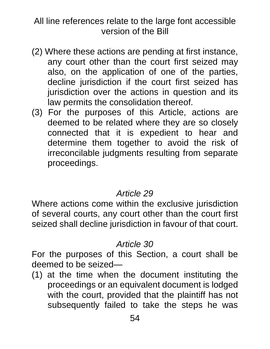- (2) Where these actions are pending at first instance, any court other than the court first seized may also, on the application of one of the parties, decline jurisdiction if the court first seized has jurisdiction over the actions in question and its law permits the consolidation thereof.
- (3) For the purposes of this Article, actions are deemed to be related where they are so closely connected that it is expedient to hear and determine them together to avoid the risk of irreconcilable judgments resulting from separate proceedings.

## *Article 29*

Where actions come within the exclusive jurisdiction of several courts, any court other than the court first seized shall decline jurisdiction in favour of that court.

#### *Article 30*

For the purposes of this Section, a court shall be deemed to be seized—

(1) at the time when the document instituting the proceedings or an equivalent document is lodged with the court, provided that the plaintiff has not subsequently failed to take the steps he was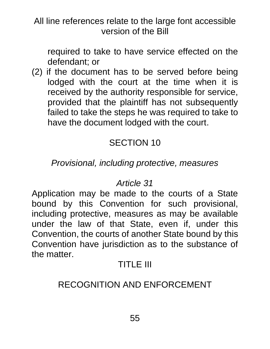required to take to have service effected on the defendant; or

(2) if the document has to be served before being lodged with the court at the time when it is received by the authority responsible for service, provided that the plaintiff has not subsequently failed to take the steps he was required to take to have the document lodged with the court.

# SECTION 10

### *Provisional, including protective, measures*

#### *Article 31*

Application may be made to the courts of a State bound by this Convention for such provisional, including protective, measures as may be available under the law of that State, even if, under this Convention, the courts of another State bound by this Convention have jurisdiction as to the substance of the matter.

## TITLE III

## RECOGNITION AND ENFORCEMENT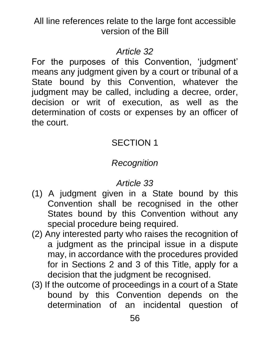## *Article 32*

For the purposes of this Convention, 'judgment' means any judgment given by a court or tribunal of a State bound by this Convention, whatever the judgment may be called, including a decree, order, decision or writ of execution, as well as the determination of costs or expenses by an officer of the court.

# SECTION 1

# *Recognition*

- (1) A judgment given in a State bound by this Convention shall be recognised in the other States bound by this Convention without any special procedure being required.
- (2) Any interested party who raises the recognition of a judgment as the principal issue in a dispute may, in accordance with the procedures provided for in Sections 2 and 3 of this Title, apply for a decision that the judgment be recognised.
- (3) If the outcome of proceedings in a court of a State bound by this Convention depends on the determination of an incidental question of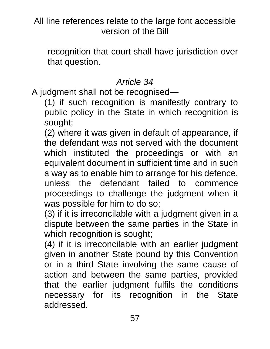recognition that court shall have jurisdiction over that question.

# *Article 34*

A judgment shall not be recognised—

(1) if such recognition is manifestly contrary to public policy in the State in which recognition is sought;

(2) where it was given in default of appearance, if the defendant was not served with the document which instituted the proceedings or with an equivalent document in sufficient time and in such a way as to enable him to arrange for his defence, unless the defendant failed to commence proceedings to challenge the judgment when it was possible for him to do so;

(3) if it is irreconcilable with a judgment given in a dispute between the same parties in the State in which recognition is sought;

(4) if it is irreconcilable with an earlier judgment given in another State bound by this Convention or in a third State involving the same cause of action and between the same parties, provided that the earlier judgment fulfils the conditions necessary for its recognition in the State addressed.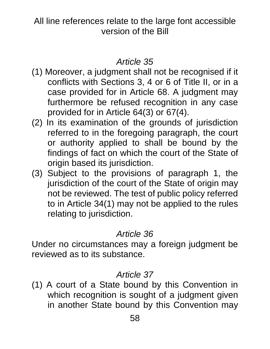## *Article 35*

- (1) Moreover, a judgment shall not be recognised if it conflicts with Sections 3, 4 or 6 of Title II, or in a case provided for in Article 68. A judgment may furthermore be refused recognition in any case provided for in Article 64(3) or 67(4).
- (2) In its examination of the grounds of jurisdiction referred to in the foregoing paragraph, the court or authority applied to shall be bound by the findings of fact on which the court of the State of origin based its jurisdiction.
- (3) Subject to the provisions of paragraph 1, the jurisdiction of the court of the State of origin may not be reviewed. The test of public policy referred to in Article 34(1) may not be applied to the rules relating to jurisdiction.

#### *Article 36*

Under no circumstances may a foreign judgment be reviewed as to its substance.

## *Article 37*

(1) A court of a State bound by this Convention in which recognition is sought of a judgment given in another State bound by this Convention may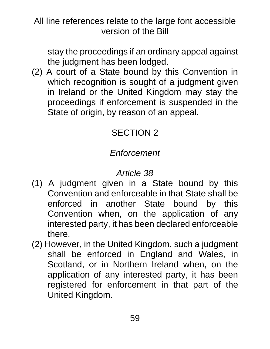stay the proceedings if an ordinary appeal against the judgment has been lodged.

(2) A court of a State bound by this Convention in which recognition is sought of a judgment given in Ireland or the United Kingdom may stay the proceedings if enforcement is suspended in the State of origin, by reason of an appeal.

# SECTION 2

# *Enforcement*

- (1) A judgment given in a State bound by this Convention and enforceable in that State shall be enforced in another State bound by this Convention when, on the application of any interested party, it has been declared enforceable there.
- (2) However, in the United Kingdom, such a judgment shall be enforced in England and Wales, in Scotland, or in Northern Ireland when, on the application of any interested party, it has been registered for enforcement in that part of the United Kingdom.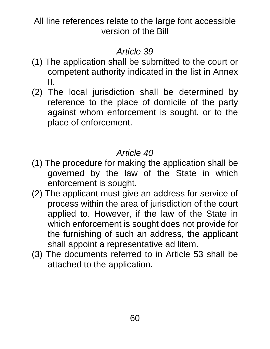## *Article 39*

- (1) The application shall be submitted to the court or competent authority indicated in the list in Annex II.
- (2) The local jurisdiction shall be determined by reference to the place of domicile of the party against whom enforcement is sought, or to the place of enforcement.

- (1) The procedure for making the application shall be governed by the law of the State in which enforcement is sought.
- (2) The applicant must give an address for service of process within the area of jurisdiction of the court applied to. However, if the law of the State in which enforcement is sought does not provide for the furnishing of such an address, the applicant shall appoint a representative ad litem.
- (3) The documents referred to in Article 53 shall be attached to the application.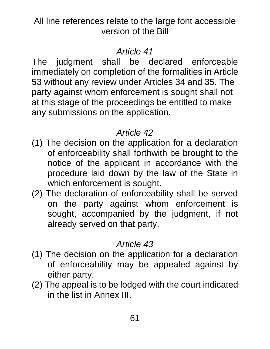## *Article 41*

The judgment shall be declared enforceable immediately on completion of the formalities in Article 53 without any review under Articles 34 and 35. The party against whom enforcement is sought shall not at this stage of the proceedings be entitled to make any submissions on the application.

## *Article 42*

- (1) The decision on the application for a declaration of enforceability shall forthwith be brought to the notice of the applicant in accordance with the procedure laid down by the law of the State in which enforcement is sought.
- (2) The declaration of enforceability shall be served on the party against whom enforcement is sought, accompanied by the judgment, if not already served on that party.

- (1) The decision on the application for a declaration of enforceability may be appealed against by either party.
- (2) The appeal is to be lodged with the court indicated in the list in Annex III.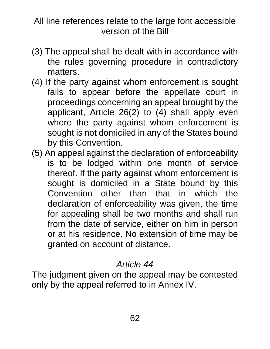- (3) The appeal shall be dealt with in accordance with the rules governing procedure in contradictory matters.
- (4) If the party against whom enforcement is sought fails to appear before the appellate court in proceedings concerning an appeal brought by the applicant, Article 26(2) to (4) shall apply even where the party against whom enforcement is sought is not domiciled in any of the States bound by this Convention.
- (5) An appeal against the declaration of enforceability is to be lodged within one month of service thereof. If the party against whom enforcement is sought is domiciled in a State bound by this Convention other than that in which the declaration of enforceability was given, the time for appealing shall be two months and shall run from the date of service, either on him in person or at his residence. No extension of time may be granted on account of distance.

## *Article 44*

The judgment given on the appeal may be contested only by the appeal referred to in Annex IV.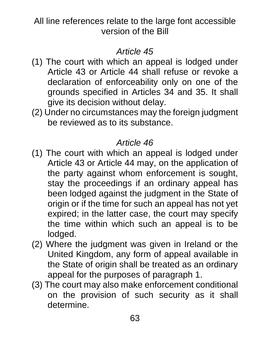## *Article 45*

- (1) The court with which an appeal is lodged under Article 43 or Article 44 shall refuse or revoke a declaration of enforceability only on one of the grounds specified in Articles 34 and 35. It shall give its decision without delay.
- (2) Under no circumstances may the foreign judgment be reviewed as to its substance.

- (1) The court with which an appeal is lodged under Article 43 or Article 44 may, on the application of the party against whom enforcement is sought, stay the proceedings if an ordinary appeal has been lodged against the judgment in the State of origin or if the time for such an appeal has not yet expired; in the latter case, the court may specify the time within which such an appeal is to be lodged.
- (2) Where the judgment was given in Ireland or the United Kingdom, any form of appeal available in the State of origin shall be treated as an ordinary appeal for the purposes of paragraph 1.
- (3) The court may also make enforcement conditional on the provision of such security as it shall determine.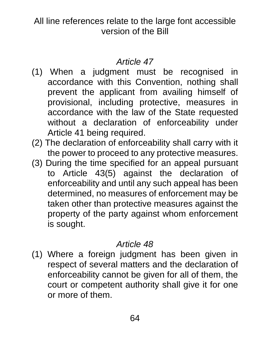## *Article 47*

- (1) When a judgment must be recognised in accordance with this Convention, nothing shall prevent the applicant from availing himself of provisional, including protective, measures in accordance with the law of the State requested without a declaration of enforceability under Article 41 being required.
- (2) The declaration of enforceability shall carry with it the power to proceed to any protective measures.
- (3) During the time specified for an appeal pursuant to Article 43(5) against the declaration of enforceability and until any such appeal has been determined, no measures of enforcement may be taken other than protective measures against the property of the party against whom enforcement is sought.

## *Article 48*

(1) Where a foreign judgment has been given in respect of several matters and the declaration of enforceability cannot be given for all of them, the court or competent authority shall give it for one or more of them.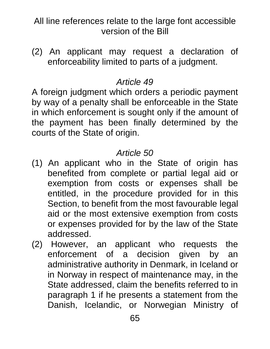(2) An applicant may request a declaration of enforceability limited to parts of a judgment.

## *Article 49*

A foreign judgment which orders a periodic payment by way of a penalty shall be enforceable in the State in which enforcement is sought only if the amount of the payment has been finally determined by the courts of the State of origin.

- (1) An applicant who in the State of origin has benefited from complete or partial legal aid or exemption from costs or expenses shall be entitled, in the procedure provided for in this Section, to benefit from the most favourable legal aid or the most extensive exemption from costs or expenses provided for by the law of the State addressed.
- (2) However, an applicant who requests the enforcement of a decision given by an administrative authority in Denmark, in Iceland or in Norway in respect of maintenance may, in the State addressed, claim the benefits referred to in paragraph 1 if he presents a statement from the Danish, Icelandic, or Norwegian Ministry of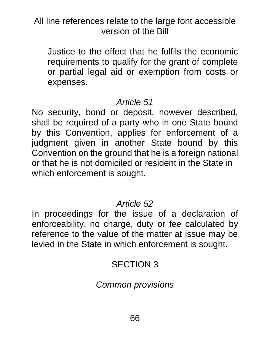Justice to the effect that he fulfils the economic requirements to qualify for the grant of complete or partial legal aid or exemption from costs or expenses.

#### *Article 51*

No security, bond or deposit, however described, shall be required of a party who in one State bound by this Convention, applies for enforcement of a judgment given in another State bound by this Convention on the ground that he is a foreign national or that he is not domiciled or resident in the State in which enforcement is sought.

#### *Article 52*

In proceedings for the issue of a declaration of enforceability, no charge, duty or fee calculated by reference to the value of the matter at issue may be levied in the State in which enforcement is sought.

## SECTION 3

## *Common provisions*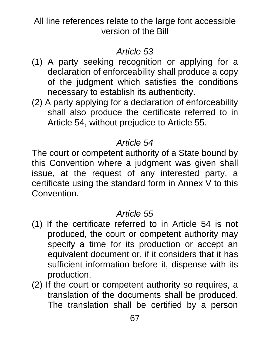## *Article 53*

- (1) A party seeking recognition or applying for a declaration of enforceability shall produce a copy of the judgment which satisfies the conditions necessary to establish its authenticity.
- (2) A party applying for a declaration of enforceability shall also produce the certificate referred to in Article 54, without prejudice to Article 55.

# *Article 54*

The court or competent authority of a State bound by this Convention where a judgment was given shall issue, at the request of any interested party, a certificate using the standard form in Annex V to this Convention.

- (1) If the certificate referred to in Article 54 is not produced, the court or competent authority may specify a time for its production or accept an equivalent document or, if it considers that it has sufficient information before it, dispense with its production.
- (2) If the court or competent authority so requires, a translation of the documents shall be produced. The translation shall be certified by a person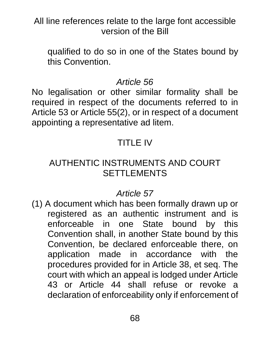qualified to do so in one of the States bound by this Convention.

## *Article 56*

No legalisation or other similar formality shall be required in respect of the documents referred to in Article 53 or Article 55(2), or in respect of a document appointing a representative ad litem.

# TITLE IV

## AUTHENTIC INSTRUMENTS AND COURT SETTLEMENTS

## *Article 57*

(1) A document which has been formally drawn up or registered as an authentic instrument and is enforceable in one State bound by this Convention shall, in another State bound by this Convention, be declared enforceable there, on application made in accordance with the procedures provided for in Article 38, et seq. The court with which an appeal is lodged under Article 43 or Article 44 shall refuse or revoke a declaration of enforceability only if enforcement of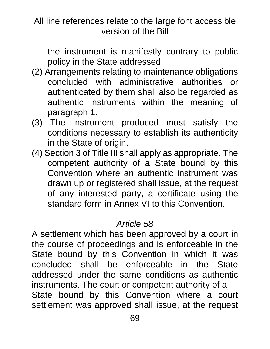the instrument is manifestly contrary to public policy in the State addressed.

- (2) Arrangements relating to maintenance obligations concluded with administrative authorities or authenticated by them shall also be regarded as authentic instruments within the meaning of paragraph 1.
- (3) The instrument produced must satisfy the conditions necessary to establish its authenticity in the State of origin.
- (4) Section 3 of Title III shall apply as appropriate. The competent authority of a State bound by this Convention where an authentic instrument was drawn up or registered shall issue, at the request of any interested party, a certificate using the standard form in Annex VI to this Convention.

## *Article 58*

A settlement which has been approved by a court in the course of proceedings and is enforceable in the State bound by this Convention in which it was concluded shall be enforceable in the State addressed under the same conditions as authentic instruments. The court or competent authority of a State bound by this Convention where a court settlement was approved shall issue, at the request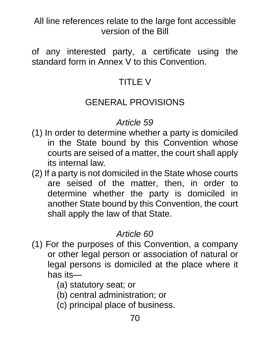of any interested party, a certificate using the standard form in Annex V to this Convention.

# TITLE V

## GENERAL PROVISIONS

## *Article 59*

- (1) In order to determine whether a party is domiciled in the State bound by this Convention whose courts are seised of a matter, the court shall apply its internal law.
- (2) If a party is not domiciled in the State whose courts are seised of the matter, then, in order to determine whether the party is domiciled in another State bound by this Convention, the court shall apply the law of that State.

- (1) For the purposes of this Convention, a company or other legal person or association of natural or legal persons is domiciled at the place where it has its—
	- (a) statutory seat; or
	- (b) central administration; or
	- (c) principal place of business.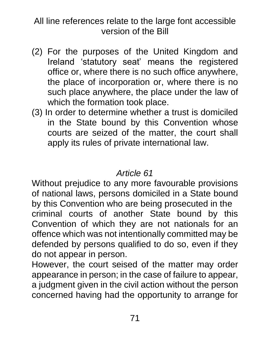- (2) For the purposes of the United Kingdom and Ireland 'statutory seat' means the registered office or, where there is no such office anywhere, the place of incorporation or, where there is no such place anywhere, the place under the law of which the formation took place.
- (3) In order to determine whether a trust is domiciled in the State bound by this Convention whose courts are seized of the matter, the court shall apply its rules of private international law.

## *Article 61*

Without prejudice to any more favourable provisions of national laws, persons domiciled in a State bound by this Convention who are being prosecuted in the criminal courts of another State bound by this Convention of which they are not nationals for an offence which was not intentionally committed may be defended by persons qualified to do so, even if they do not appear in person.

However, the court seised of the matter may order appearance in person; in the case of failure to appear, a judgment given in the civil action without the person concerned having had the opportunity to arrange for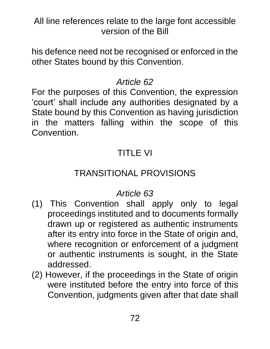his defence need not be recognised or enforced in the other States bound by this Convention.

# *Article 62*

For the purposes of this Convention, the expression 'court' shall include any authorities designated by a State bound by this Convention as having jurisdiction in the matters falling within the scope of this Convention.

# TITLE VI

# TRANSITIONAL PROVISIONS

- (1) This Convention shall apply only to legal proceedings instituted and to documents formally drawn up or registered as authentic instruments after its entry into force in the State of origin and, where recognition or enforcement of a judgment or authentic instruments is sought, in the State addressed.
- (2) However, if the proceedings in the State of origin were instituted before the entry into force of this Convention, judgments given after that date shall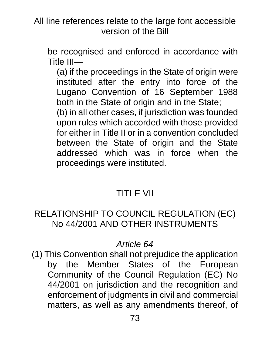be recognised and enforced in accordance with Title III—

(a) if the proceedings in the State of origin were instituted after the entry into force of the Lugano Convention of 16 September 1988 both in the State of origin and in the State;

(b) in all other cases, if jurisdiction was founded upon rules which accorded with those provided for either in Title II or in a convention concluded between the State of origin and the State addressed which was in force when the proceedings were instituted.

# TITLE VII

## RELATIONSHIP TO COUNCIL REGULATION (EC) No 44/2001 AND OTHER INSTRUMENTS

# *Article 64*

(1) This Convention shall not prejudice the application by the Member States of the European Community of the Council Regulation (EC) No 44/2001 on jurisdiction and the recognition and enforcement of judgments in civil and commercial matters, as well as any amendments thereof, of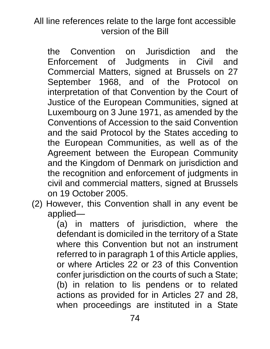the Convention on Jurisdiction and the Enforcement of Judgments in Civil and Commercial Matters, signed at Brussels on 27 September 1968, and of the Protocol on interpretation of that Convention by the Court of Justice of the European Communities, signed at Luxembourg on 3 June 1971, as amended by the Conventions of Accession to the said Convention and the said Protocol by the States acceding to the European Communities, as well as of the Agreement between the European Community and the Kingdom of Denmark on jurisdiction and the recognition and enforcement of judgments in civil and commercial matters, signed at Brussels on 19 October 2005.

(2) However, this Convention shall in any event be applied—

(a) in matters of jurisdiction, where the defendant is domiciled in the territory of a State where this Convention but not an instrument referred to in paragraph 1 of this Article applies, or where Articles 22 or 23 of this Convention confer jurisdiction on the courts of such a State; (b) in relation to lis pendens or to related actions as provided for in Articles 27 and 28, when proceedings are instituted in a State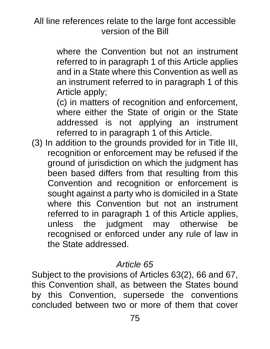where the Convention but not an instrument referred to in paragraph 1 of this Article applies and in a State where this Convention as well as an instrument referred to in paragraph 1 of this Article apply;

(c) in matters of recognition and enforcement, where either the State of origin or the State addressed is not applying an instrument referred to in paragraph 1 of this Article.

(3) In addition to the grounds provided for in Title III, recognition or enforcement may be refused if the ground of jurisdiction on which the judgment has been based differs from that resulting from this Convention and recognition or enforcement is sought against a party who is domiciled in a State where this Convention but not an instrument referred to in paragraph 1 of this Article applies, unless the judgment may otherwise be recognised or enforced under any rule of law in the State addressed.

## *Article 65*

Subject to the provisions of Articles 63(2), 66 and 67, this Convention shall, as between the States bound by this Convention, supersede the conventions concluded between two or more of them that cover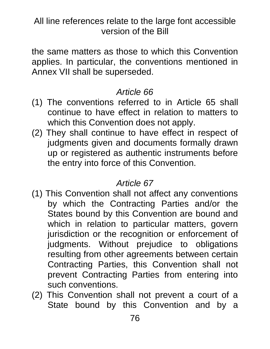the same matters as those to which this Convention applies. In particular, the conventions mentioned in Annex VII shall be superseded.

#### *Article 66*

- (1) The conventions referred to in Article 65 shall continue to have effect in relation to matters to which this Convention does not apply.
- (2) They shall continue to have effect in respect of judgments given and documents formally drawn up or registered as authentic instruments before the entry into force of this Convention.

#### *Article 67*

- (1) This Convention shall not affect any conventions by which the Contracting Parties and/or the States bound by this Convention are bound and which in relation to particular matters, govern jurisdiction or the recognition or enforcement of judgments. Without prejudice to obligations resulting from other agreements between certain Contracting Parties, this Convention shall not prevent Contracting Parties from entering into such conventions.
- (2) This Convention shall not prevent a court of a State bound by this Convention and by a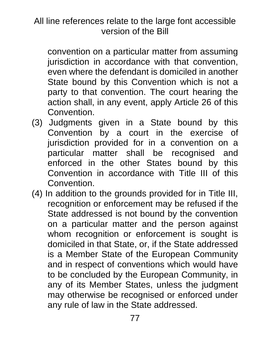convention on a particular matter from assuming jurisdiction in accordance with that convention, even where the defendant is domiciled in another State bound by this Convention which is not a party to that convention. The court hearing the action shall, in any event, apply Article 26 of this Convention.

- (3) Judgments given in a State bound by this Convention by a court in the exercise of jurisdiction provided for in a convention on a particular matter shall be recognised and enforced in the other States bound by this Convention in accordance with Title III of this Convention.
- (4) In addition to the grounds provided for in Title III, recognition or enforcement may be refused if the State addressed is not bound by the convention on a particular matter and the person against whom recognition or enforcement is sought is domiciled in that State, or, if the State addressed is a Member State of the European Community and in respect of conventions which would have to be concluded by the European Community, in any of its Member States, unless the judgment may otherwise be recognised or enforced under any rule of law in the State addressed.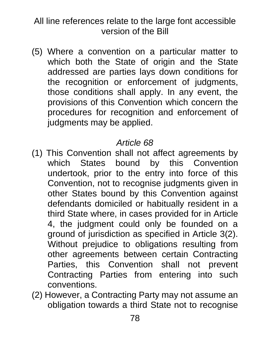(5) Where a convention on a particular matter to which both the State of origin and the State addressed are parties lays down conditions for the recognition or enforcement of judgments, those conditions shall apply. In any event, the provisions of this Convention which concern the procedures for recognition and enforcement of judgments may be applied.

# *Article 68*

- (1) This Convention shall not affect agreements by which States bound by this Convention undertook, prior to the entry into force of this Convention, not to recognise judgments given in other States bound by this Convention against defendants domiciled or habitually resident in a third State where, in cases provided for in Article 4, the judgment could only be founded on a ground of jurisdiction as specified in Article 3(2). Without prejudice to obligations resulting from other agreements between certain Contracting Parties, this Convention shall not prevent Contracting Parties from entering into such conventions.
- (2) However, a Contracting Party may not assume an obligation towards a third State not to recognise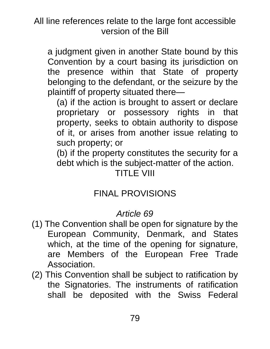a judgment given in another State bound by this Convention by a court basing its jurisdiction on the presence within that State of property belonging to the defendant, or the seizure by the plaintiff of property situated there—

(a) if the action is brought to assert or declare proprietary or possessory rights in that property, seeks to obtain authority to dispose of it, or arises from another issue relating to such property; or

(b) if the property constitutes the security for a debt which is the subject-matter of the action.

#### TITLE VIII

# FINAL PROVISIONS

## *Article 69*

- (1) The Convention shall be open for signature by the European Community, Denmark, and States which, at the time of the opening for signature, are Members of the European Free Trade Association.
- (2) This Convention shall be subject to ratification by the Signatories. The instruments of ratification shall be deposited with the Swiss Federal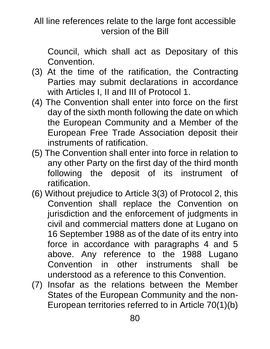Council, which shall act as Depositary of this Convention.

- (3) At the time of the ratification, the Contracting Parties may submit declarations in accordance with Articles I, II and III of Protocol 1.
- (4) The Convention shall enter into force on the first day of the sixth month following the date on which the European Community and a Member of the European Free Trade Association deposit their instruments of ratification.
- (5) The Convention shall enter into force in relation to any other Party on the first day of the third month following the deposit of its instrument of ratification.
- (6) Without prejudice to Article 3(3) of Protocol 2, this Convention shall replace the Convention on jurisdiction and the enforcement of judgments in civil and commercial matters done at Lugano on 16 September 1988 as of the date of its entry into force in accordance with paragraphs 4 and 5 above. Any reference to the 1988 Lugano Convention in other instruments shall be understood as a reference to this Convention.
- (7) Insofar as the relations between the Member States of the European Community and the non-European territories referred to in Article 70(1)(b)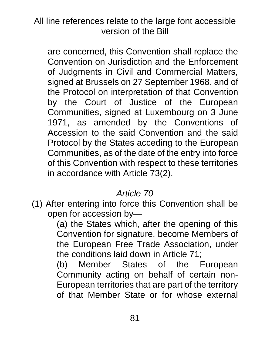are concerned, this Convention shall replace the Convention on Jurisdiction and the Enforcement of Judgments in Civil and Commercial Matters, signed at Brussels on 27 September 1968, and of the Protocol on interpretation of that Convention by the Court of Justice of the European Communities, signed at Luxembourg on 3 June 1971, as amended by the Conventions of Accession to the said Convention and the said Protocol by the States acceding to the European Communities, as of the date of the entry into force of this Convention with respect to these territories in accordance with Article 73(2).

## *Article 70*

(1) After entering into force this Convention shall be open for accession by—

(a) the States which, after the opening of this Convention for signature, become Members of the European Free Trade Association, under the conditions laid down in Article 71;

(b) Member States of the European Community acting on behalf of certain non-European territories that are part of the territory of that Member State or for whose external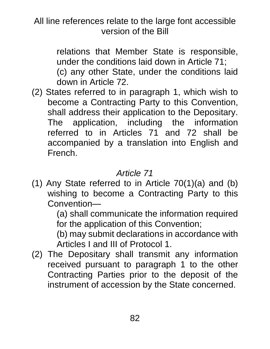relations that Member State is responsible, under the conditions laid down in Article 71; (c) any other State, under the conditions laid down in Article 72.

(2) States referred to in paragraph 1, which wish to become a Contracting Party to this Convention, shall address their application to the Depositary. The application, including the information referred to in Articles 71 and 72 shall be accompanied by a translation into English and French.

# *Article 71*

(1) Any State referred to in Article 70(1)(a) and (b) wishing to become a Contracting Party to this Convention—

(a) shall communicate the information required for the application of this Convention;

(b) may submit declarations in accordance with Articles I and III of Protocol 1.

(2) The Depositary shall transmit any information received pursuant to paragraph 1 to the other Contracting Parties prior to the deposit of the instrument of accession by the State concerned.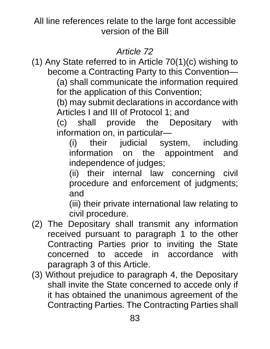## *Article 72*

(1) Any State referred to in Article 70(1)(c) wishing to become a Contracting Party to this Convention—

(a) shall communicate the information required for the application of this Convention;

(b) may submit declarations in accordance with Articles I and III of Protocol 1; and

(c) shall provide the Depositary with information on, in particular—

(i) their judicial system, including information on the appointment and independence of judges;

(ii) their internal law concerning civil procedure and enforcement of judgments; and

(iii) their private international law relating to civil procedure.

- (2) The Depositary shall transmit any information received pursuant to paragraph 1 to the other Contracting Parties prior to inviting the State concerned to accede in accordance with paragraph 3 of this Article.
- (3) Without prejudice to paragraph 4, the Depositary shall invite the State concerned to accede only if it has obtained the unanimous agreement of the Contracting Parties. The Contracting Parties shall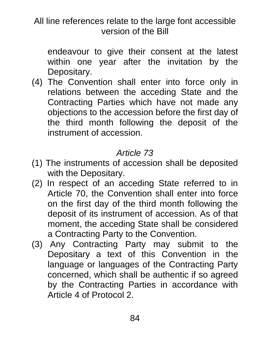endeavour to give their consent at the latest within one year after the invitation by the Depositary.

(4) The Convention shall enter into force only in relations between the acceding State and the Contracting Parties which have not made any objections to the accession before the first day of the third month following the deposit of the instrument of accession.

# *Article 73*

- (1) The instruments of accession shall be deposited with the Depositary.
- (2) In respect of an acceding State referred to in Article 70, the Convention shall enter into force on the first day of the third month following the deposit of its instrument of accession. As of that moment, the acceding State shall be considered a Contracting Party to the Convention.
- (3) Any Contracting Party may submit to the Depositary a text of this Convention in the language or languages of the Contracting Party concerned, which shall be authentic if so agreed by the Contracting Parties in accordance with Article 4 of Protocol 2.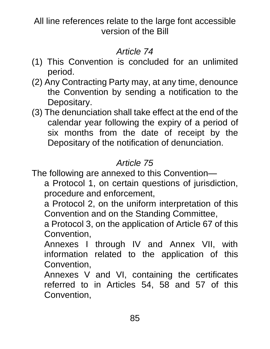## *Article 74*

- (1) This Convention is concluded for an unlimited period.
- (2) Any Contracting Party may, at any time, denounce the Convention by sending a notification to the Depositary.
- (3) The denunciation shall take effect at the end of the calendar year following the expiry of a period of six months from the date of receipt by the Depositary of the notification of denunciation.

# *Article 75*

The following are annexed to this Convention—

- a Protocol 1, on certain questions of jurisdiction, procedure and enforcement,
- a Protocol 2, on the uniform interpretation of this Convention and on the Standing Committee,
- a Protocol 3, on the application of Article 67 of this Convention,
- Annexes I through IV and Annex VII, with information related to the application of this Convention,
- Annexes V and VI, containing the certificates referred to in Articles 54, 58 and 57 of this Convention,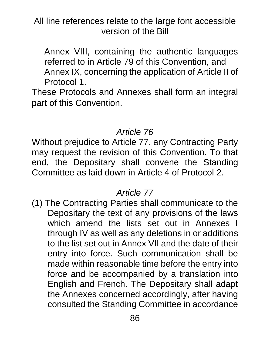Annex VIII, containing the authentic languages referred to in Article 79 of this Convention, and Annex IX, concerning the application of Article II of Protocol 1.

These Protocols and Annexes shall form an integral part of this Convention.

#### *Article 76*

Without prejudice to Article 77, any Contracting Party may request the revision of this Convention. To that end, the Depositary shall convene the Standing Committee as laid down in Article 4 of Protocol 2.

#### *Article 77*

(1) The Contracting Parties shall communicate to the Depositary the text of any provisions of the laws which amend the lists set out in Annexes I through IV as well as any deletions in or additions to the list set out in Annex VII and the date of their entry into force. Such communication shall be made within reasonable time before the entry into force and be accompanied by a translation into English and French. The Depositary shall adapt the Annexes concerned accordingly, after having consulted the Standing Committee in accordance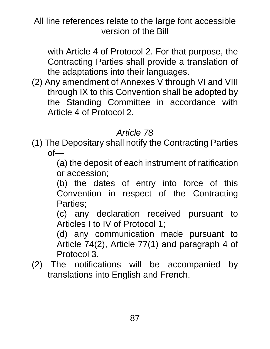with Article 4 of Protocol 2. For that purpose, the Contracting Parties shall provide a translation of the adaptations into their languages.

(2) Any amendment of Annexes V through VI and VIII through IX to this Convention shall be adopted by the Standing Committee in accordance with Article 4 of Protocol 2.

## *Article 78*

(1) The Depositary shall notify the Contracting Parties  $of$ — $\overline{\phantom{a}}$ 

(a) the deposit of each instrument of ratification or accession;

(b) the dates of entry into force of this Convention in respect of the Contracting Parties;

(c) any declaration received pursuant to Articles I to IV of Protocol 1;

(d) any communication made pursuant to Article 74(2), Article 77(1) and paragraph 4 of Protocol 3.

(2) The notifications will be accompanied by translations into English and French.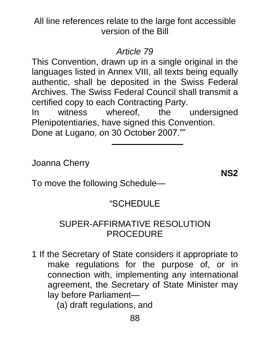#### *Article 79*

This Convention, drawn up in a single original in the languages listed in Annex VIII, all texts being equally authentic, shall be deposited in the Swiss Federal Archives. The Swiss Federal Council shall transmit a certified copy to each Contracting Party.

In witness whereof, the undersigned Plenipotentiaries, have signed this Convention. Done at Lugano, on 30 October 2007.""

Joanna Cherry

**NS2**

To move the following Schedule—

## "SCHEDULE

#### SUPER-AFFIRMATIVE RESOLUTION PROCEDURE

1 If the Secretary of State considers it appropriate to make regulations for the purpose of, or in connection with, implementing any international agreement, the Secretary of State Minister may lay before Parliament—

(a) draft regulations, and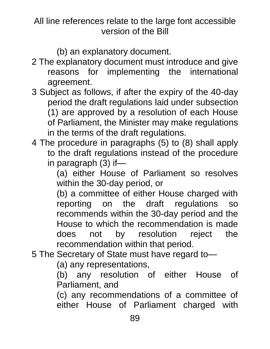(b) an explanatory document.

- 2 The explanatory document must introduce and give reasons for implementing the international agreement.
- 3 Subject as follows, if after the expiry of the 40-day period the draft regulations laid under subsection (1) are approved by a resolution of each House of Parliament, the Minister may make regulations in the terms of the draft regulations.
- 4 The procedure in paragraphs (5) to (8) shall apply to the draft regulations instead of the procedure in paragraph (3) if—

(a) either House of Parliament so resolves within the 30-day period, or

(b) a committee of either House charged with reporting on the draft regulations so recommends within the 30-day period and the House to which the recommendation is made does not by resolution reject the recommendation within that period.

5 The Secretary of State must have regard to—

(a) any representations,

(b) any resolution of either House of Parliament, and

(c) any recommendations of a committee of either House of Parliament charged with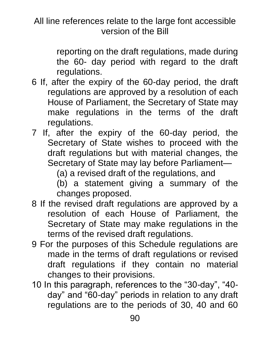> reporting on the draft regulations, made during the 60- day period with regard to the draft regulations.

- 6 If, after the expiry of the 60-day period, the draft regulations are approved by a resolution of each House of Parliament, the Secretary of State may make regulations in the terms of the draft regulations.
- 7 If, after the expiry of the 60-day period, the Secretary of State wishes to proceed with the draft regulations but with material changes, the Secretary of State may lay before Parliament—

(a) a revised draft of the regulations, and

(b) a statement giving a summary of the changes proposed.

- 8 If the revised draft regulations are approved by a resolution of each House of Parliament, the Secretary of State may make regulations in the terms of the revised draft regulations.
- 9 For the purposes of this Schedule regulations are made in the terms of draft regulations or revised draft regulations if they contain no material changes to their provisions.
- 10 In this paragraph, references to the "30-day", "40 day" and "60-day" periods in relation to any draft regulations are to the periods of 30, 40 and 60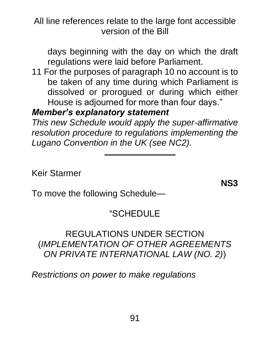days beginning with the day on which the draft regulations were laid before Parliament.

11 For the purposes of paragraph 10 no account is to be taken of any time during which Parliament is dissolved or prorogued or during which either House is adjourned for more than four days."

#### *Member's explanatory statement*

*This new Schedule would apply the super-affirmative resolution procedure to regulations implementing the Lugano Convention in the UK (see NC2).*

Keir Starmer

**NS3**

To move the following Schedule—

# "SCHEDULE

#### REGULATIONS UNDER SECTION (*IMPLEMENTATION OF OTHER AGREEMENTS ON PRIVATE INTERNATIONAL LAW (NO. 2)*)

*Restrictions on power to make regulations*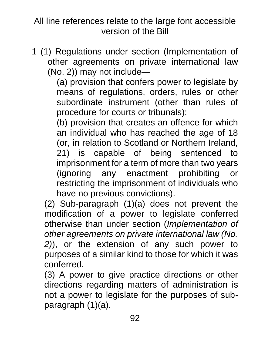1 (1) Regulations under section (Implementation of other agreements on private international law (No. 2)) may not include—

(a) provision that confers power to legislate by means of regulations, orders, rules or other subordinate instrument (other than rules of procedure for courts or tribunals);

(b) provision that creates an offence for which an individual who has reached the age of 18 (or, in relation to Scotland or Northern Ireland, 21) is capable of being sentenced to imprisonment for a term of more than two years (ignoring any enactment prohibiting or restricting the imprisonment of individuals who have no previous convictions).

(2) Sub-paragraph (1)(a) does not prevent the modification of a power to legislate conferred otherwise than under section (*Implementation of other agreements on private international law (No. 2)*), or the extension of any such power to purposes of a similar kind to those for which it was conferred.

(3) A power to give practice directions or other directions regarding matters of administration is not a power to legislate for the purposes of subparagraph (1)(a).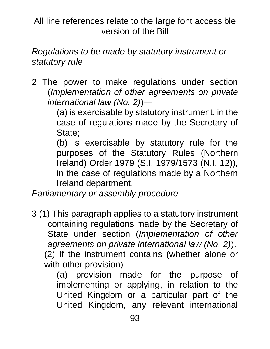*Regulations to be made by statutory instrument or statutory rule*

2 The power to make regulations under section (*Implementation of other agreements on private international law (No. 2)*)—

(a) is exercisable by statutory instrument, in the case of regulations made by the Secretary of State;

(b) is exercisable by statutory rule for the purposes of the Statutory Rules (Northern Ireland) Order 1979 (S.I. 1979/1573 (N.I. 12)), in the case of regulations made by a Northern Ireland department.

*Parliamentary or assembly procedure*

3 (1) This paragraph applies to a statutory instrument containing regulations made by the Secretary of State under section (*Implementation of other agreements on private international law (No. 2)*). (2) If the instrument contains (whether alone or

with other provision)—

(a) provision made for the purpose of implementing or applying, in relation to the United Kingdom or a particular part of the United Kingdom, any relevant international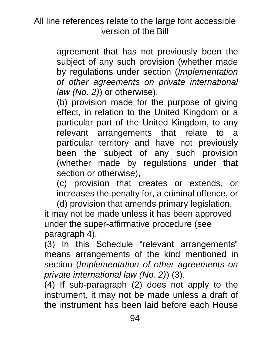agreement that has not previously been the subject of any such provision (whether made by regulations under section (*Implementation of other agreements on private international law (No. 2)*) or otherwise),

(b) provision made for the purpose of giving effect, in relation to the United Kingdom or a particular part of the United Kingdom, to any relevant arrangements that relate to a particular territory and have not previously been the subject of any such provision (whether made by regulations under that section or otherwise),

(c) provision that creates or extends, or increases the penalty for, a criminal offence, or

(d) provision that amends primary legislation, it may not be made unless it has been approved under the super-affirmative procedure (see paragraph 4).

(3) In this Schedule "relevant arrangements" means arrangements of the kind mentioned in section (*Implementation of other agreements on private international law (No. 2)*) (3).

(4) If sub-paragraph (2) does not apply to the instrument, it may not be made unless a draft of the instrument has been laid before each House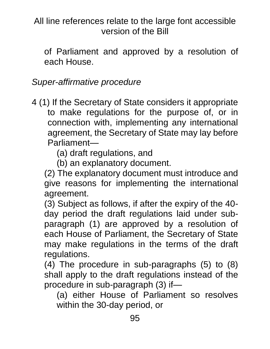of Parliament and approved by a resolution of each House.

*Super-affirmative procedure*

4 (1) If the Secretary of State considers it appropriate to make regulations for the purpose of, or in connection with, implementing any international agreement, the Secretary of State may lay before Parliament—

(a) draft regulations, and

(b) an explanatory document.

(2) The explanatory document must introduce and give reasons for implementing the international agreement.

(3) Subject as follows, if after the expiry of the 40 day period the draft regulations laid under subparagraph (1) are approved by a resolution of each House of Parliament, the Secretary of State may make regulations in the terms of the draft regulations.

(4) The procedure in sub-paragraphs (5) to (8) shall apply to the draft regulations instead of the procedure in sub-paragraph (3) if—

(a) either House of Parliament so resolves within the 30-day period, or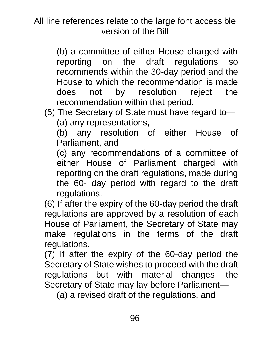(b) a committee of either House charged with reporting on the draft regulations so recommends within the 30-day period and the House to which the recommendation is made does not by resolution reject the recommendation within that period.

(5) The Secretary of State must have regard to— (a) any representations,

(b) any resolution of either House of Parliament, and

(c) any recommendations of a committee of either House of Parliament charged with reporting on the draft regulations, made during the 60- day period with regard to the draft regulations.

(6) If after the expiry of the 60-day period the draft regulations are approved by a resolution of each House of Parliament, the Secretary of State may make regulations in the terms of the draft regulations.

(7) If after the expiry of the 60-day period the Secretary of State wishes to proceed with the draft regulations but with material changes, the Secretary of State may lay before Parliament—

(a) a revised draft of the regulations, and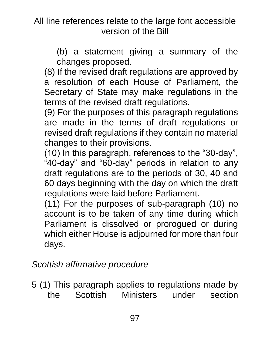(b) a statement giving a summary of the changes proposed.

(8) If the revised draft regulations are approved by a resolution of each House of Parliament, the Secretary of State may make regulations in the terms of the revised draft regulations.

(9) For the purposes of this paragraph regulations are made in the terms of draft regulations or revised draft regulations if they contain no material changes to their provisions.

(10) In this paragraph, references to the "30-day", "40-day" and "60-day" periods in relation to any draft regulations are to the periods of 30, 40 and 60 days beginning with the day on which the draft regulations were laid before Parliament.

(11) For the purposes of sub-paragraph (10) no account is to be taken of any time during which Parliament is dissolved or prorogued or during which either House is adjourned for more than four days.

## *Scottish affirmative procedure*

5 (1) This paragraph applies to regulations made by the Scottish Ministers under section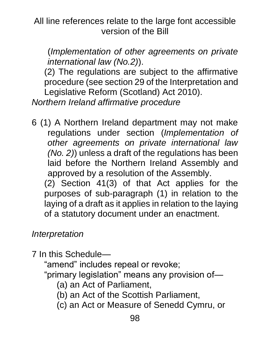(*Implementation of other agreements on private international law (No.2)*).

(2) The regulations are subject to the affirmative procedure (see section 29 of the Interpretation and Legislative Reform (Scotland) Act 2010). *Northern Ireland affirmative procedure*

6 (1) A Northern Ireland department may not make regulations under section (*Implementation of other agreements on private international law (No. 2)*) unless a draft of the regulations has been laid before the Northern Ireland Assembly and approved by a resolution of the Assembly.

(2) Section 41(3) of that Act applies for the purposes of sub-paragraph (1) in relation to the laying of a draft as it applies in relation to the laying of a statutory document under an enactment.

*Interpretation*

7 In this Schedule—

"amend" includes repeal or revoke;

"primary legislation" means any provision of—

- (a) an Act of Parliament,
- (b) an Act of the Scottish Parliament,
- (c) an Act or Measure of Senedd Cymru, or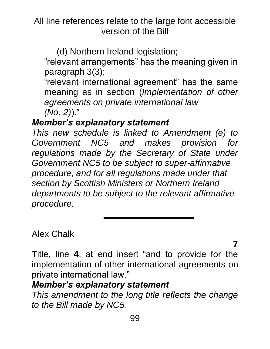(d) Northern Ireland legislation;

"relevant arrangements" has the meaning given in paragraph 3(3);

"relevant international agreement" has the same meaning as in section (*Implementation of other agreements on private international law (No. 2)*)."

#### *Member's explanatory statement*

*This new schedule is linked to Amendment (e) to Government NC5 and makes provision for regulations made by the Secretary of State under Government NC5 to be subject to super-affirmative procedure, and for all regulations made under that section by Scottish Ministers or Northern Ireland departments to be subject to the relevant affirmative procedure.*

Alex Chalk

**7**

Title, line **4**, at end insert "and to provide for the implementation of other international agreements on private international law."

#### *Member's explanatory statement*

*This amendment to the long title reflects the change to the Bill made by NC5.*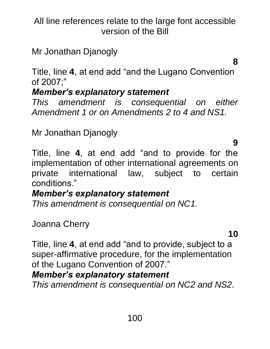Mr Jonathan Djanogly

**8**

Title, line **4**, at end add "and the Lugano Convention of 2007;"

# *Member's explanatory statement*

*This amendment is consequential on either Amendment 1 or on Amendments 2 to 4 and NS1.*

Mr Jonathan Djanogly

**9**

Title, line **4**, at end add "and to provide for the implementation of other international agreements on private international law, subject to certain conditions."

# *Member's explanatory statement*

*This amendment is consequential on NC1.*

Joanna Cherry

**10**

Title, line **4**, at end add "and to provide, subject to a super-affirmative procedure, for the implementation of the Lugano Convention of 2007."

# *Member's explanatory statement*

*This amendment is consequential on NC2 and NS2.*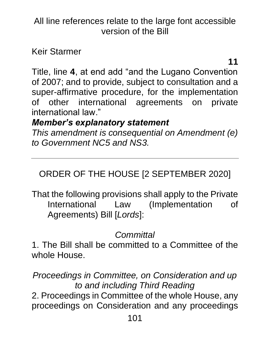Keir Starmer

**11**

Title, line **4**, at end add "and the Lugano Convention of 2007; and to provide, subject to consultation and a super-affirmative procedure, for the implementation of other international agreements on private international law."

## *Member's explanatory statement*

*This amendment is consequential on Amendment (e) to Government NC5 and NS3.*

# ORDER OF THE HOUSE [2 SEPTEMBER 2020]

That the following provisions shall apply to the Private International Law (Implementation of Agreements) Bill [*Lords*]:

# *Committal*

1. The Bill shall be committed to a Committee of the whole House.

*Proceedings in Committee, on Consideration and up to and including Third Reading* 2. Proceedings in Committee of the whole House, any proceedings on Consideration and any proceedings